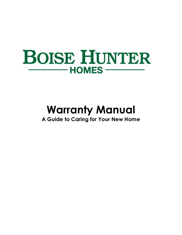

# **Warranty Manual**

**A Guide to Caring for Your New Home**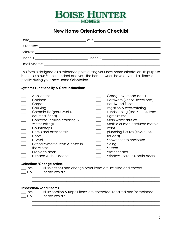

## **New Home Orientation Checklist**

| Date                    | Lot $#$ |  |
|-------------------------|---------|--|
|                         |         |  |
|                         |         |  |
|                         |         |  |
| Email Address _________ |         |  |

This form is designed as a reference point during your new home orientation. Its purpose is to ensure our Superintendent and you, the home owner, have covered all items of priority during your New Home Orientation.

#### **Systems Functionality & Care Instructions**

| Appliances                        | Garage overhead doors            |
|-----------------------------------|----------------------------------|
| Cabinets                          | Hardware (knobs, towel bars)     |
| Carpet                            | Hardwood floors                  |
| Caulking                          | Irrigation & overwatering        |
| Ceramic tile/grout (walls,        | Landscaping (sod, shrubs, trees) |
| counters, floors)                 | Light fixtures                   |
| Concrete (hairline cracking &     | Main water shut off              |
| winter salting)                   | Marble or manufactured marble    |
| Countertops                       | Paint                            |
| Decks and exterior rails          | plumbing fixtures (sinks, tubs,  |
| Doors                             | faucets)                         |
| Drywall                           | Shower or tub enclosure          |
| Exterior water faucets & hoses in | Siding                           |
| the winter                        | Stucco                           |
| Fireplace doors                   | Water heater                     |
| Furnace & Filter location         | Windows, screens, patio doors    |
|                                   |                                  |

#### **Selections/Change orders**

| Yes | All selections and change order items are installed and correct. |
|-----|------------------------------------------------------------------|
|     |                                                                  |

\_\_\_ No Please explain

#### **Inspection/Repair Items**

 $\frac{1}{2}$  ,  $\frac{1}{2}$  ,  $\frac{1}{2}$  ,  $\frac{1}{2}$  ,  $\frac{1}{2}$  ,  $\frac{1}{2}$  ,  $\frac{1}{2}$  ,  $\frac{1}{2}$  ,  $\frac{1}{2}$  ,  $\frac{1}{2}$  ,  $\frac{1}{2}$  ,  $\frac{1}{2}$  ,  $\frac{1}{2}$  ,  $\frac{1}{2}$  ,  $\frac{1}{2}$  ,  $\frac{1}{2}$  ,  $\frac{1}{2}$  ,  $\frac{1}{2}$  ,  $\frac{1$ 

\_\_\_ Yes All Inspection & Repair items are corrected, repaired and/or replaced No Please explain

\_\_\_\_\_\_\_\_\_\_\_\_\_\_\_\_\_\_\_\_\_\_\_\_\_\_\_\_\_\_\_\_\_\_\_\_\_\_\_\_\_\_\_\_\_\_\_\_\_\_\_\_\_\_\_\_\_\_\_\_\_\_\_\_\_\_\_\_\_\_\_\_\_\_\_\_\_\_ \_\_\_\_\_\_\_\_\_\_\_\_\_\_\_\_\_\_\_\_\_\_\_\_\_\_\_\_\_\_\_\_\_\_\_\_\_\_\_\_\_\_\_\_\_\_\_\_\_\_\_\_\_\_\_\_\_\_\_\_\_\_\_\_\_\_\_\_\_\_\_\_\_\_\_\_\_\_

\_\_\_\_\_\_\_\_\_\_\_\_\_\_\_\_\_\_\_\_\_\_\_\_\_\_\_\_\_\_\_\_\_\_\_\_\_\_\_\_\_\_\_\_\_\_\_\_\_\_\_\_\_\_\_\_\_\_\_\_\_\_\_\_\_\_\_\_\_\_\_\_\_\_\_\_\_\_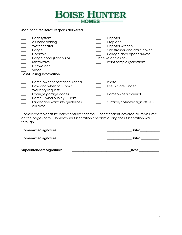# **BOISE HUNTER**

#### **Manufacturer literature/parts delivered**

| Heat system<br>Air conditioning<br>Water heater<br>Range<br>Cooktop<br>Range hood (light bulb)<br>Microwave<br>Dishwasher<br>Video<br><b>Post-Closing Information</b>           | Disposal<br>Fireplace<br>Disposal wrench<br>Sink strainer and drain cover<br>Garage door openers/Keys<br>(receive at closing)<br>Paint samples (selections) |
|---------------------------------------------------------------------------------------------------------------------------------------------------------------------------------|-------------------------------------------------------------------------------------------------------------------------------------------------------------|
| Home owner orientation signed<br>How and when to submit<br>Warranty requests<br>Change garage codes<br>Home Owner Survey - Eliant<br>Landscape warranty guidelines<br>(90 days) | Photo<br>Use & Care Binder<br>Homeowners manual<br>Surface/cosmetic sign off (#8)                                                                           |

Homeowners Signature below ensures that the Superintendent covered all items listed on the pages of this Homeowner Orientation checklist during their Orientation walk through.

| Homeowner Signature:        | Date: |
|-----------------------------|-------|
| <b>Homeowner Signature:</b> | Date: |
|                             |       |

| <b>Superintendent Signature:</b> | Date: |
|----------------------------------|-------|
|                                  |       |

………………………………………………………………………………………………………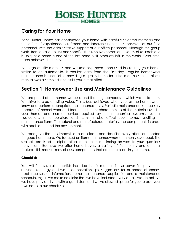## **BOISE HUNTER** - HOMES -

## **Caring for Your Home**

Boise Hunter Homes has constructed your home with carefully selected materials and the effort of experienced craftsmen and laborers under the supervision of our field personnel, with the administrative support of our office personnel. Although this group works from detailed plans and specifications, no two homes are exactly alike. Each one is unique; a home is one of the last hand-built products left in the world. Over time, each behaves differently.

Although quality materials and workmanship have been used in creating your home, similar to an automobile, it requires care from the first day. Regular homeowner maintenance is essential to providing a quality home for a lifetime. This section of our manual was assembled in to assist you in that effort.

## **Section 1: Homeowner Use and Maintenance Guidelines**

We are proud of the homes we build and the neighborhoods in which we build them. We strive to create lasting value. This is best achieved when you, as the homeowner, know and perform appropriate maintenance tasks. Periodic maintenance is necessary because of normal wear and tear, the inherent characteristics of the materials used in your home, and normal service required by the mechanical systems. Natural fluctuations in temperature and humidity also affect your home, resulting in maintenance items. The natural and manufactured materials, the components interact with each other and the environment.

We recognize that it is impossible to anticipate and describe every attention needed for good home care. We focused on items that homeowners commonly ask about. The subjects are listed in alphabetical order to make finding answers to your questions convenient. Because we offer home buyers a variety of floor plans and optional features, this manual may discuss components that are not present in your home.

#### **Checklists**

You will find several checklists included in this manual. These cover fire prevention reminders, energy and water conservation tips, suggestions for extended absences, appliance service information, home maintenance supplies list, and a maintenance schedule. Again we make no claim that we have included every detail. We do believe we have provided you with a good start, and we've allowed space for you to add your own notes to our checklists.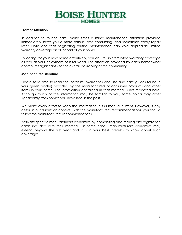

#### **Prompt Attention**

In addition to routine care, many times a minor maintenance attention provided immediately saves you a more serious, time-consuming, and sometimes costly repair later. Note also that neglecting routine maintenance can void applicable limited warranty coverage on all or part of your home.

By caring for your new home attentively, you ensure uninterrupted warranty coverage as well as your enjoyment of it for years. The attention provided by each homeowner contributes significantly to the overall desirability of the community.

#### **Manufacturer Literature**

Please take time to read the literature (warranties and use and care guides found in your green binder) provided by the manufacturers of consumer products and other items in your home. The information contained in that material is not repeated here. Although much of the information may be familiar to you, some points may differ significantly from homes you have had in the past.

We make every effort to keep the information in this manual current. However, if any detail in our discussion conflicts with the manufacturer's recommendations, you should follow the manufacturer's recommendations.

Activate specific manufacturer's warranties by completing and mailing any registration cards included with their materials. In some cases, manufacturer's warranties may extend beyond the first year and it is in your best interests to know about such coverages.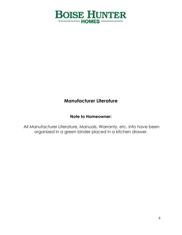

## **Manufacturer Literature**

## **Note to Homeowner:**

All Manufacturer Literature, Manuals, Warranty, etc. info have been organized in a green binder placed in a kitchen drawer.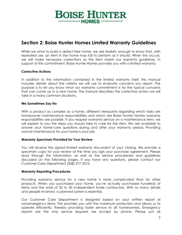# **BOISE HUNTER** -HOMES-

## **Section 2: Boise Hunter Homes Limited Warranty Guidelines**

While we strive to build a defect-free home, we are realistic enough to know that, with repeated use, an item in the home may fail to perform as it should. When this occurs, we will make necessary corrections so the item meets our warranty guidelines. In support of this commitment, Boise Hunter Homes provides you with a limited warranty.

#### **Corrective Actions**

In addition to the information contained in the limited warranty itself, this manual includes details about the criteria we will use to evaluate concerns you report. The purpose is to let you know what our warranty commitment is for the typical concerns that can come up in a new home. The manual describes the corrective action we will take in a many common situations.

#### **We Sometimes Say No**

With a product as complex as a home, different viewpoints regarding which tasks are homeowner maintenance responsibilities and which are Boise Hunter Homes warranty responsibilities are possible. If you request warranty service on a maintenance item, we will explain to you the steps you should take to care for the item. We are available to answer your home-care questions during and after your warranty period. Providing normal maintenance for your home is your job.

#### **Warranty Specimen Provided for Your Review**

You will receive the signed limited warranty document at your closing. We provide a specimen copy for your review at the time you sign your purchase agreement. Please read through this information, as well as the service procedures and guidelines discussed on the following pages. If you have any questions, please contact our Customer Care Department (208) 577-5310.

#### **Warranty Reporting Procedures**

Providing warranty service for a new home is more complicated than for other products. When you purchased your home, you're actually purchased hundreds of items and the work of 35 to 50 independent trade contractors. With so many details and people involved, a planned system is essential.

Our Customer Care Department is designed based on your written report of nonemergency items. This provides you with the maximum protection and allows us to operate efficiently, thereby providing faster service to all homeowners. Emergency reports are the only service requests we accept by phone. Please put all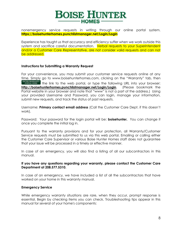# **BOISE HUNTER**

nonemergency service requests in writing through our online portal system. **https://boisehunterhomes.punchlistmanager.net/Login/Login**

Experience has taught us that accuracy and efficiency suffer when we work outside this system and sacrifice careful documentation. Verbal requests to your Superintendent and/or a Customer Care Representative, are not consider valid requests and can not be addressed.

#### **Instructions for Submitting a Warranty Request**

For your convenience, you may submit your customer service requests online at any time. Simply go to www.boisehunterhomes.com, clicking on the "Warranty" tab, then ENTER WARRANTY the link to the web portal, or type the following URL into your browser: **<http://boisehunterhomes.punchlistmanager.net/Login/Login>**. (Please bookmark the Portal website in your browser and note that "www" is not a part of the address.) Using your provided Username and Password, you can login, manage your information, submit new requests, and track the status of past requests.

Username: **Primary contact email address** (Call the Customer Care Dept. if this doesn't work).

Password: Your password for the login portal will be: **boisehunter.** You can change it once you complete the initial log in.

Pursuant to the warranty provisions and for your protection, all Warranty/Customer Service requests must be submitted to us via this web portal. Emailing or calling either the Customer Care Supervisor or various Boise Hunter Homes staff does not guarantee that your issue will be processed in a timely or effective manner.

In case of an emergency, you will also find a listing of all our subcontractors in this manual.

#### **If you have any questions regarding your warranty, please contact the Customer Care Department at 208.577.5310.**

In case of an emergency, we have included a list of all the subcontractors that have worked on your home in this warranty manual.

#### **Emergency Service**

While emergency warranty situations are rare, when they occur, prompt response is essential. Begin by checking items you can check. Troubleshooting tips appear in this manual for several of your home's components: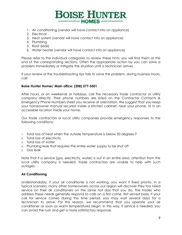# **BOISE HUNTER**

- 1. Air conditioning (vendor will have contact info on appliance)
- 2. Electrical
- 3. Heat system (vendor will have contact info on appliance)
- 4. Plumbing
- 5. Roof (leak)
- 6. Water heater (vendor will have contact info on appliance)

Please refer to the individual categories to review these hints; you will find them at the end of the corresponding sections. Often the appropriate action by you can solve a problem immediately or mitigate the situation until a technician arrives.

If your review of the troubleshooting tips fails to solve the problem, during business hours, call:

#### **Boise Hunter Homes' Main office: (208) 577-5501**

After hours, or on weekends or holidays, call the necessary trade contractor or utility company directly. Their phone numbers are listed on the Contractor Contacts & Emergency Phone Numbers sheet you receive at orientation. We suggest that you keep your homeowner manual secured inside a kitchen cabinet, near your phone, or in an accessible location inside your home.

Our trade contractors or local utility companies provide emergency responses to the following conditions:

- 1. Total loss of heat when the outside temperature is below 50 degrees F
- 2. Total loss of electricity
- 3. Total loss of water
- 4. Plumbing leak that requires the entire water supply to be shut off
- 5. Gas leak

Note that if a service (gas, electricity, water) is out in an entire area, attention from the local utility company is needed. Trade contractors are unable to help with such outages.

#### **Air Conditioning**

Understandably, if your air conditioner is not working, you want it fixed pronto. In a typical scenario, many other homeowners across our region will discover they too need service on their air conditioners on the same hot day that you do. The trades who address these needs generally respond to calls on a first come, first served basis. If your call for service comes during this time period, you may wait several days for a technician to arrive. For this reason, we recommend that you operate your air conditioner as soon as warm temperatures begin. In this way, if service is needed, you can avoid the rush and get a more satisfactory response.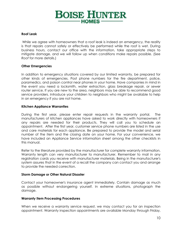# **BOISE HUNTER** -HOMES-

#### **Roof Leak**

While we agree with homeowners that a roof leak is indeed an emergency, the reality is that repairs cannot safely or effectively be performed while the roof is wet. During business hours, contact our office with the information, take appropriate steps to mitigate damage, and we will follow up when conditions make repairs possible. (See *Roof* for more details.)

#### **Other Emergencies**

In addition to emergency situations covered by our limited warranty, be prepared for other kinds of emergencies. Post phone numbers for the fire department, police, paramedics, and poison control near phones in your home. Have companies in mind in the event you need a locksmith, water extraction, glass breakage repair, or sewer router service. If you are new to the area, neighbors may be able to recommend good service providers. Introduce your children to neighbors who might be available to help in an emergency if you are not home.

#### **Kitchen Appliance Warranties**

During the first year, please enter repair requests in the warranty portal. The manufacturers of kitchen appliances have asked to work directly with homeowners if any repairs are needed for their products. They will call you to schedule an appointment. After the first year, customer service phone numbers are listed in the use and care materials for each appliance. Be prepared to provide the model and serial number of the item and the closing date on your home. For your convenience, we have included an Appliance Service information sheet among the other checklists in this manual.

Refer to the literature provided by the manufacturer for complete warranty information. Warranty length can very manufacturer to manufacturer. Remember to mail in any registration cards you receive with manufacturer materials. Being in the manufacturer's system assures that in the event of a recall the company can contact you and arrange to provide the needed correction.

#### **Storm Damage or Other Natural Disaster**

Contact your homeowner's insurance agent immediately. Contain damage as much as possible without endangering yourself. In extreme situations, photograph the damage.

#### **Warranty Item Processing Procedures**

When we receive a warranty service request, we may contact you for an inspection appointment. Warranty inspection appointments are available Monday through Friday,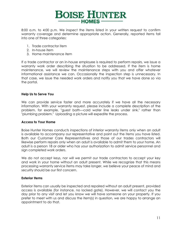

8:00 a.m. to 4:00 p.m. We inspect the items listed in your written request to confirm warranty coverage and determine appropriate action. Generally, reported items fall into one of three categories:

- 1. Trade contractor item
- 2. In-house item
- 3. Home maintenance item

If a trade contractor or an in-house employee is required to perform repairs, we issue a warranty work order describing the situation to be addressed. If the item is home maintenance, we will review the maintenance steps with you and offer whatever informational assistance we can. Occasionally the inspection step is unnecessary. In that case, we issue the needed work orders and notify you that we have done so via the portal.

#### **Help Us to Serve You**

We can provide service faster and more accurately if we have all the necessary information. With your warranty request, please include a complete description of the problem, for example, "guest bath—cold water line leaks under sink," rather than "plumbing problem." Uploading a picture will expedite the process.

#### **Access to Your Home**

Boise Hunter Homes conducts inspections of interior warranty items only when an adult is available to accompany our representative and point out the items you have listed. Both our Customer Care Representatives and those of our trades contractors will likewise perform repairs only when an adult is available to admit them to your home. An adult is a person 18 or older who has your authorization to admit service personnel and sign completed work orders.

We do not accept keys, nor will we permit our trade contractors to accept your key and work in your home without an adult present. While we recognize that this means processing warranty service items may take longer, we believe your peace of mind and security should be our first concern.

#### **Exterior Items**

Exterior items can usually be inspected and repaired without an adult present, provided access is available (for instance, no locked gate). However, we will contact you the day prior to any visit and let you know we will have someone on your property. If you prefer to meet with us and discuss the item(s) in question, we are happy to arrange an appointment to do that.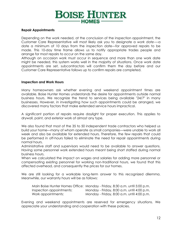

#### **Repair Appointments**

Depending on the work needed, at the conclusion of the inspection appointment, the Customer Care Representative will most likely ask you to designate a *work date*-—a date a minimum of 10 days from the inspection date—for approved repairs to be made. This 10-day time frame allows us to notify appropriate trades people and arrange for most repairs to occur on the same day.

Although on occasion work must occur in sequence and more than one work date might be needed, this system works well in the majority of situations. Once work date appointments are set, subcontractors will confirm them the day before and our Customer Care Representative follows up to confirm repairs are completed.

#### **Inspection and Work Hours**

Many homeowners ask whether evening and weekend appointment times are available. Boise Hunter Homes understands the desire for appointments outside normal business hours. We recognize the trend to services being available "24/7" in many businesses. However, in investigating how such appointments could be arranged, we discovered many factors that make extended service hours impractical.

A significant portion of repairs require daylight for proper execution. This applies to drywall, paint, and exterior work of almost any type.

We also found that most of the 35 to 50 independent trade contractors who helped us build your home—many of whom operate as small companies—were unable to work all week and also be available for extended hours. Therefore, the few repairs that could be performed in off-hours failed to eliminate the need for repair appointments during normal hours.

Administrative staff and supervisors would need to be available to answer questions. Having some personnel work extended hours meant being short staffed during normal business hours.

When we calculated the impact on wages and salaries for adding more personnel or compensating existing personnel for working non-traditional hours, we found that this affected overhead, and consequently the prices for our homes.

We are still looking for a workable long-term answer to this recognized dilemma. Meanwhile, our warranty hours will be as follows:

|                          | Main Boise Hunter Homes Office: Monday - Friday, 8:30 a.m. until 5:00 p.m. |
|--------------------------|----------------------------------------------------------------------------|
| Inspection appointments: | Monday - Friday, 8:00 a.m. until 4:00 p.m.                                 |
| Work appointments:       | Monday - Friday, 8:00 a.m. until 4:00 p.m.                                 |

Evening and weekend appointments are reserved for emergency situations. We appreciate your understanding and cooperation with these policies.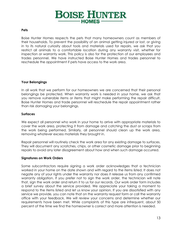

#### **Pets**

Boise Hunter Homes respects the pets that many homeowners count as members of their households. To prevent the possibility of an animal getting injured or lost, or giving in to its natural curiosity about tools and materials used for repairs, we ask that you restrict all animals to a comfortable location during any warranty visit, whether for inspection or warranty work. This policy is also for the protection of our employees and trades personnel. We have instructed Boise Hunter Homes and trades personnel to reschedule the appointment if pets have access to the work area.

#### **Your Belongings**

In all work that we perform for our homeowners we are concerned that their personal belongings be protected. When warranty work is needed in your home, we ask that you remove vulnerable items or items that might make performing the repair difficult. Boise Hunter Homes and trade personnel will reschedule the repair appointment rather than risk damaging your belongings.

#### **Surfaces**

We expect all personnel who work in your home to arrive with appropriate materials to cover the work area, protecting it from damage and catching the dust or scraps from the work being performed. Similarly, all personnel should clean up the work area, removing whatever excess materials they brought in.

Repair personnel will routinely check the work area for any existing damage to surfaces. They will document any scratches, chips, or other cosmetic damage prior to beginning repairs to avoid any later disagreement about how and when such damage occurred.

#### **Signatures on Work Orders**

Some subcontractors require signing a work order acknowledges that a technician worked in your home on the date shown and with regard to the items listed. It does not negate any of your rights under the warranty nor does it release us from any confirmed warranty obligation. If you prefer not to sign the work order, the technician will note that, sign the work order and return it to us for our records. Our work order form includes a brief survey about the service provided. We appreciate your taking a moment to respond to the items listed and let us know your opinion. If you are dissatisfied with any service we provide, you can note that on the warranty request form or call the warranty office with your feedback. We will review your concerns and determine whether our requirements have been met. While complaints of this type are infrequent, about 50 percent of the time we find the homeowner is correct and more attention is needed.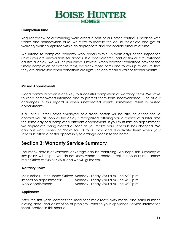

#### **Completion Time**

Regular review of outstanding work orders is part of our office routine. Checking with trades and homeowners alike, we strive to identify the cause for delays and get all warranty work completed within an appropriate and reasonable amount of time.

We intend to complete warranty work orders within 15 work days of the inspection unless you are unavailable for access. If a back-ordered part or similar circumstance causes a delay, we will let you know. Likewise, when weather conditions prevent the timely completion of exterior items, we track those items and follow up to ensure that they are addressed when conditions are right. This can mean a wait of several months.

#### **Missed Appointments**

Good communication is one key to successful completion of warranty items. We strive to keep homeowners informed and to protect them from inconvenience. One of our challenges in this regard is when unexpected events sometimes result in missed appointments.

If a Boise Hunter Homes employee or a trade person will be late, he or she should contact you as soon as the delay is recognized, offering you a choice of a later time the same day or a completely different appointment. If you must miss an appointment, we appreciate being alerted as soon as you realize your schedule has changed. We can put work orders on "hold" for 10 to 30 days and re-activate them when your schedule offers a better opportunity to arrange access to the home.

## **Section 3: Warranty Service Summary**

The many details of warranty coverage can be confusing. We hope this summary of key points will help. If you do not know whom to contact, call our Boise Hunter Homes main Office at 208-577-5501 and we will guide you.

#### **Warranty Hours**

|                          | Main Boise Hunter Homes Office: Monday - Friday, 8:30 a.m. until 5:00 p.m. |
|--------------------------|----------------------------------------------------------------------------|
| Inspection appointments: | Monday - Friday, 8:00 a.m. until 4:00 p.m.                                 |
| Work appointments:       | Monday - Friday, 8:00 a.m. until 4:00 p.m.                                 |

#### **Appliances**

After the first year, contact the manufacturer directly with model and serial number, closing date, and description of problem. Refer to your Appliance Service information sheet located in this manual.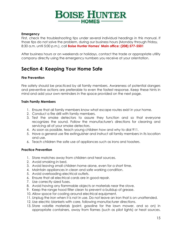# **BOISE HUNTER HOMES-**

#### **Emergency**

First, check the troubleshooting tips under several individual headings in this manual. If those tips do not solve the problem, during our business hours (Monday through Friday, 8:30 a.m. until 5:00 p.m.), call **Boise Hunter Homes' Main office: (208) 577-5501**

After business hours or on weekends or holidays, contact the trade or appropriate utility company directly using the emergency numbers you receive at your orientation.

## **Section 4: Keeping Your Home Safe**

#### **Fire Prevention**

Fire safety should be practiced by all family members. Awareness of potential dangers and preventive actions are preferable to even the fastest response. Keep these hints in mind and add your own reminders in the space provided on the next page.

#### **Train Family Members**

- 1. Ensure that all family members know what escape routes exist in your home.
- 2. Conduct a fire drill with family members.
- 3. Test the smoke detectors to assure they function and so that everyone recognizes the sound. Follow the manufacturer's directions for cleaning and servicing all of your smoke detectors.
- 4. As soon as possible, teach young children how and why to dial 911.
- 5. Have a general use fire extinguisher and instruct all family members in its location and use.
- 6. Teach children the safe use of appliances such as irons and toasters.

#### **Practice Prevention**

- 1. Store matches away from children and heat sources.
- 2. Avoid smoking in bed.
- 3. Avoid leaving small children home alone, even for a short time.
- 4. Maintain appliances in clean and safe working condition.
- 5. Avoid overloading electrical outlets.
- 6. Ensure that all electrical cords are in good repair.
- 7. Use correctly sized fuses.
- 8. Avoid having any flammable objects or materials near the stove.
- 9. Keep the range hood filter clean to prevent a buildup of grease.
- 10. Allow space for cooling around electrical equipment.
- 11. Unplug the iron when it is not in use. Do not leave an iron that is on unattended.
- 12. Use electric blankets with care, following manufacturer directions.
- 13. Store volatile materials (paint, gasoline for the lawn mower, and so on) in appropriate containers, away from flames (such as pilot lights) or heat sources.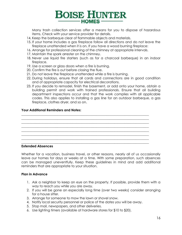

Many trash collection services offer a means for you to dispose of hazardous items. Check with your service provider for details.

- 14. Keep the barbeque clear of flammable objects and materials.
- 15. If your home includes a gas fireplace follow all directions and do not leave the fireplace unattended when it is on. If you have a wood burning fireplace:
- 16. Arrange for professional cleaning of the chimney at appropriate intervals.
- 17. Maintain the spark arrester on the chimney.
- 18. Never use liquid fire starters (such as for a charcoal barbeque) in an indoor fireplace.
- 19. Use a screen or glass doors when a fire is burning.
- 20. Confirm the fire is out before closing the flue.
- 21. Do not leave the fireplace unattended while a fire is burning.
- 22. During holidays, ensure that all cords and connections are in good condition and of appropriate capacity for electrical decorations.
- 23. If you decide to remodel, finish the basement, or add onto your home, obtain a building permit and work with trained professionals. Ensure that all building department inspections occur and that the work complies with all applicable codes. This also applies to installing a gas line for an outdoor barbeque, a gas fireplace, clothes dryer, and so on.

\_\_\_\_\_\_\_\_\_\_\_\_\_\_\_\_\_\_\_\_\_\_\_\_\_\_\_\_\_\_\_\_\_\_\_\_\_\_\_\_\_\_\_\_\_\_\_\_\_\_\_\_\_\_\_\_\_\_\_\_\_\_\_\_\_\_\_\_\_\_\_\_\_\_\_\_\_\_ \_\_\_\_\_\_\_\_\_\_\_\_\_\_\_\_\_\_\_\_\_\_\_\_\_\_\_\_\_\_\_\_\_\_\_\_\_\_\_\_\_\_\_\_\_\_\_\_\_\_\_\_\_\_\_\_\_\_\_\_\_\_\_\_\_\_\_\_\_\_\_\_\_\_\_\_\_\_ \_\_\_\_\_\_\_\_\_\_\_\_\_\_\_\_\_\_\_\_\_\_\_\_\_\_\_\_\_\_\_\_\_\_\_\_\_\_\_\_\_\_\_\_\_\_\_\_\_\_\_\_\_\_\_\_\_\_\_\_\_\_\_\_\_\_\_\_\_\_\_\_\_\_\_\_\_\_ \_\_\_\_\_\_\_\_\_\_\_\_\_\_\_\_\_\_\_\_\_\_\_\_\_\_\_\_\_\_\_\_\_\_\_\_\_\_\_\_\_\_\_\_\_\_\_\_\_\_\_\_\_\_\_\_\_\_\_\_\_\_\_\_\_\_\_\_\_\_\_\_\_\_\_\_\_\_ \_\_\_\_\_\_\_\_\_\_\_\_\_\_\_\_\_\_\_\_\_\_\_\_\_\_\_\_\_\_\_\_\_\_\_\_\_\_\_\_\_\_\_\_\_\_\_\_\_\_\_\_\_\_\_\_\_\_\_\_\_\_\_\_\_\_\_\_\_\_\_\_\_\_\_\_\_\_ \_\_\_\_\_\_\_\_\_\_\_\_\_\_\_\_\_\_\_\_\_\_\_\_\_\_\_\_\_\_\_\_\_\_\_\_\_\_\_\_\_\_\_\_\_\_\_\_\_\_\_\_\_\_\_\_\_\_\_\_\_\_\_\_\_\_\_\_\_\_\_\_\_\_\_\_\_\_ \_\_\_\_\_\_\_\_\_\_\_\_\_\_\_\_\_\_\_\_\_\_\_\_\_\_\_\_\_\_\_\_\_\_\_\_\_\_\_\_\_\_\_\_\_\_\_\_\_\_\_\_\_\_\_\_\_\_\_\_\_\_\_\_\_\_\_\_\_\_\_\_\_\_\_\_\_\_ \_\_\_\_\_\_\_\_\_\_\_\_\_\_\_\_\_\_\_\_\_\_\_\_\_\_\_\_\_\_\_\_\_\_\_\_\_\_\_\_\_\_\_\_\_\_\_\_\_\_\_\_\_\_\_\_\_\_\_\_\_\_\_\_\_\_\_\_\_\_\_\_\_\_\_\_\_\_

#### **Your Additional Reminders and Notes:**

#### **Extended Absences**

Whether for a vacation, business travel, or other reasons, nearly all of us occasionally leave our homes for days or weeks at a time. With some preparation, such absences can be managed uneventfully. Keep these guidelines in mind and add additional reminders that are appropriate to your situation.

#### **Plan in Advance**

- 1. Ask a neighbor to keep an eye on the property. If possible, provide them with a way to reach you while you are away.
- 2. If you will be gone an especially long time (over two weeks) consider arranging for a house sitter.
- 3. Arrange for someone to mow the lawn or shovel snow.
- 4. Notify local security personnel or police of the dates you will be away.
- 5. Stop mail, newspapers, and other deliveries.
- 6. Use lighting timers (available at hardware stores for \$10 to \$20).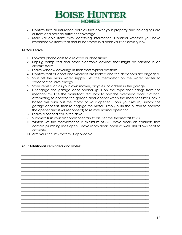# **BOISE HUNTER**  $-$ HOMES $-$

- 7. Confirm that all insurance policies that cover your property and belongings are current and provide sufficient coverage.
- 8. Mark valuable items with identifying information. Consider whether you have irreplaceable items that should be stored in a bank vault or security box.

#### **As You Leave**

- 1. Forward phone calls to a relative or close friend.
- 2. Unplug computers and other electronic devices that might be harmed in an electric storm.
- 3. Leave window coverings in their most typical positions.
- 4. Confirm that all doors and windows are locked and the deadbolts are engaged.
- 5. Shut off the main water supply. Set the thermostat on the water heater to "vacation" to save energy.
- 6. Store items such as your lawn mower, bicycles, or ladders in the garage.
- 7. Disengage the garage door opener (pull on the rope that hangs from the mechanism). Use the manufacturer's lock to bolt the overhead door. *Caution:* Attempting to operate the garage door opener when the manufacturer's lock is bolted will burn out the motor of your opener. Upon your return, unlock the garage door first, then re-engage the motor (simply push the button to operate the opener and it will reconnect) to restore normal operation.
- 8. Leave a second car in the drive.
- 9. Summer: Turn your air conditioner fan to on. Set the thermostat to 78.

\_\_\_\_\_\_\_\_\_\_\_\_\_\_\_\_\_\_\_\_\_\_\_\_\_\_\_\_\_\_\_\_\_\_\_\_\_\_\_\_\_\_\_\_\_\_\_\_\_\_\_\_\_\_\_\_\_\_\_\_\_\_\_\_\_\_\_\_\_\_\_\_\_\_\_\_\_\_ \_\_\_\_\_\_\_\_\_\_\_\_\_\_\_\_\_\_\_\_\_\_\_\_\_\_\_\_\_\_\_\_\_\_\_\_\_\_\_\_\_\_\_\_\_\_\_\_\_\_\_\_\_\_\_\_\_\_\_\_\_\_\_\_\_\_\_\_\_\_\_\_\_\_\_\_\_\_ \_\_\_\_\_\_\_\_\_\_\_\_\_\_\_\_\_\_\_\_\_\_\_\_\_\_\_\_\_\_\_\_\_\_\_\_\_\_\_\_\_\_\_\_\_\_\_\_\_\_\_\_\_\_\_\_\_\_\_\_\_\_\_\_\_\_\_\_\_\_\_\_\_\_\_\_\_\_ \_\_\_\_\_\_\_\_\_\_\_\_\_\_\_\_\_\_\_\_\_\_\_\_\_\_\_\_\_\_\_\_\_\_\_\_\_\_\_\_\_\_\_\_\_\_\_\_\_\_\_\_\_\_\_\_\_\_\_\_\_\_\_\_\_\_\_\_\_\_\_\_\_\_\_\_\_\_ \_\_\_\_\_\_\_\_\_\_\_\_\_\_\_\_\_\_\_\_\_\_\_\_\_\_\_\_\_\_\_\_\_\_\_\_\_\_\_\_\_\_\_\_\_\_\_\_\_\_\_\_\_\_\_\_\_\_\_\_\_\_\_\_\_\_\_\_\_\_\_\_\_\_\_\_\_\_ \_\_\_\_\_\_\_\_\_\_\_\_\_\_\_\_\_\_\_\_\_\_\_\_\_\_\_\_\_\_\_\_\_\_\_\_\_\_\_\_\_\_\_\_\_\_\_\_\_\_\_\_\_\_\_\_\_\_\_\_\_\_\_\_\_\_\_\_\_\_\_\_\_\_\_\_\_\_ \_\_\_\_\_\_\_\_\_\_\_\_\_\_\_\_\_\_\_\_\_\_\_\_\_\_\_\_\_\_\_\_\_\_\_\_\_\_\_\_\_\_\_\_\_\_\_\_\_\_\_\_\_\_\_\_\_\_\_\_\_\_\_\_\_\_\_\_\_\_\_\_\_\_\_\_\_\_ \_\_\_\_\_\_\_\_\_\_\_\_\_\_\_\_\_\_\_\_\_\_\_\_\_\_\_\_\_\_\_\_\_\_\_\_\_\_\_\_\_\_\_\_\_\_\_\_\_\_\_\_\_\_\_\_\_\_\_\_\_\_\_\_\_\_\_\_\_\_\_\_\_\_\_\_\_\_ \_\_\_\_\_\_\_\_\_\_\_\_\_\_\_\_\_\_\_\_\_\_\_\_\_\_\_\_\_\_\_\_\_\_\_\_\_\_\_\_\_\_\_\_\_\_\_\_\_\_\_\_\_\_\_\_\_\_\_\_\_\_\_\_\_\_\_\_\_\_\_\_\_\_\_\_\_\_  $\_$  , and the set of the set of the set of the set of the set of the set of the set of the set of the set of the set of the set of the set of the set of the set of the set of the set of the set of the set of the set of th \_\_\_\_\_\_\_\_\_\_\_\_\_\_\_\_\_\_\_\_\_\_\_\_\_\_\_\_\_\_\_\_\_\_\_\_\_\_\_\_\_\_\_\_\_\_\_\_\_\_\_\_\_\_\_\_\_\_\_\_\_\_\_\_\_\_\_\_\_\_\_\_\_\_\_\_\_\_ \_\_\_\_\_\_\_\_\_\_\_\_\_\_\_\_\_\_\_\_\_\_\_\_\_\_\_\_\_\_\_\_\_\_\_\_\_\_\_\_\_\_\_\_\_\_\_\_\_\_\_\_\_\_\_\_\_\_\_\_\_\_\_\_\_\_\_\_\_\_\_\_\_\_\_\_\_\_ \_\_\_\_\_\_\_\_\_\_\_\_\_\_\_\_\_\_\_\_\_\_\_\_\_\_\_\_\_\_\_\_\_\_\_\_\_\_\_\_\_\_\_\_\_\_\_\_\_\_\_\_\_\_\_\_\_\_\_\_\_\_\_\_\_\_\_\_\_\_\_\_\_\_\_\_\_\_ \_\_\_\_\_\_\_\_\_\_\_\_\_\_\_\_\_\_\_\_\_\_\_\_\_\_\_\_\_\_\_\_\_\_\_\_\_\_\_\_\_\_\_\_\_\_\_\_\_\_\_\_\_\_\_\_\_\_\_\_\_\_\_\_\_\_\_\_\_\_\_\_\_\_\_\_\_\_ \_\_\_\_\_\_\_\_\_\_\_\_\_\_\_\_\_\_\_\_\_\_\_\_\_\_\_\_\_\_\_\_\_\_\_\_\_\_\_\_\_\_\_\_\_\_\_\_\_\_\_\_\_\_\_\_\_\_\_\_\_\_\_\_\_\_\_\_\_\_\_\_\_\_\_\_\_\_

- 10. Winter: Set the thermostat to a minimum of 55. Leave doors on cabinets that contain plumbing lines open. Leave room doors open as well. This allows heat to circulate.
- 11. Arm your security system, if applicable.

#### **Your Additional Reminders and Notes:**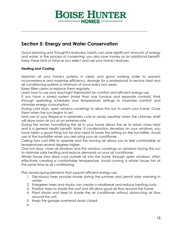# **BOISE HUNTER**

\_\_\_\_\_\_\_\_\_\_\_\_\_\_\_\_\_\_\_\_\_\_\_\_\_\_\_\_\_\_\_\_\_\_\_\_\_\_\_\_\_\_\_\_\_\_\_\_\_\_\_\_\_\_\_\_\_\_\_\_\_\_\_\_\_\_\_\_\_\_\_\_\_\_\_\_\_

## **Section 5: Energy and Water Conservation**

Good planning and thoughtful everyday habits can save significant amounts of energy and water. In the process of conserving, you also save money as an additional benefit. Keep these hints in mind as you select and use your home's features:

#### **Heating and Cooling**

Maintain all your home's systems in clean and good working order to prevent inconvenience and maximize efficiency. Arrange for a professional to service heat and air conditioning systems a minimum of once every two years.

Keep filters clean or replace them regularly.

Learn how to use your day/night thermostat for comfort and efficient energy use.

If you have a zoned system (more than one furnace and separate controls) think through operating schedules and temperature settings to maximize comfort and minimize energy consumption.

During cold days, open window coverings to allow the sun to warm your home. Close them when the sun begins to set.

Limit use of your fireplace in extremely cold or windy weather when the chimney draft will draw room air out at an extreme rate.

During the winter, humidifying the air in your home allows the air to retain more heat and is a general health benefit. Note: If condensation develops on your windows, you have taken a good thing too far and need to lower the setting on the humidifier. Avoid use of the humidifier when you are using your air conditioner.

Ceiling fans cost little to operate and the moving air allows you to feel comfortable at temperatures several degrees higher.

One hot days, close all windows and the window coverings on windows facing the sun to minimize solar heating and reduce demands on your air conditioner.

Whole house fans draw cool outside air into the home through open windows, often effectively creating a comfortable temperature. Avoid running a whole house fan at the same time as air conditioning

Plan landscaping elements that support efficient energy use:

- 1. Deciduous trees provide shade during the summer and permit solar warming in winter.
- 2. Evergreen trees and shrubs can create a windbreak and reduce heating costs.
- 3. Position trees to shade the roof and still allow good air flow around the home.
- 4. Plant shrubs and trees to shade the air conditioner without obstructing air flow around the unit.
- 5. Keep the garage overhead doors closed.
- 6.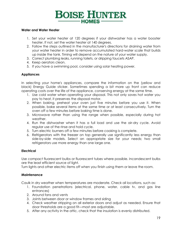## **BOISE HUNTER HOMES-**

#### **Water and Water Heater**

- 1. Set your water heater at 120 degrees if your dishwasher has a water booster heater. If not, set the water heater at 140 degrees.
- 2. Follow the steps outlined in the manufacturer's directions for draining water from your water heater in order to remove accumulated hard-water scale that builds up inside the tank. Timing will depend on the nature of your water supply.
- 3. Correct plumbing leaks, running toilets, or dripping faucets ASAP.
- 4. Keep aerators clean.
- 5. If you have a swimming pool, consider using solar heating power.

#### **Appliances**

In selecting your home's appliances, compare the information on the (yellow and black) Energy Guide sticker. Sometimes spending a bit more up front can reduce operating costs over the life of the appliance, conserving energy at the same time.

- 1. Use cold water when operating your disposal. This not only saves hot water you pay to heat, it preserves the disposal motor.
- 2. When baking, preheat your oven just five minutes before you use it. When possible, bake several items at the same time or at least consecutively. Turn the oven off a few minutes before baking time is done.
- 3. Microwave rather than using the range when possible, especially during hot weather.
- 4. Run the dishwasher when it has a full load and use the air-dry cycle. Avoid regular use of the rinse and hold cycle.
- 5. Turn electric burners off a few minutes before cooking is complete.
- 6. Refrigerators with the freezer on top generally use significantly less energy than side-by-side models. Select an appropriate size for your needs; two small refrigerators use more energy than one large one.

#### **Electrical**

Use compact fluorescent bulbs or fluorescent tubes where possible. Incandescent bulbs are the least efficient source of light.

Turn lights and other electric items off when you finish using them or leave the room.

#### **Maintenance**

Caulk in dry weather when temperatures are moderate. Check all locations, such as:

- 1. Foundation penetrations (electrical, phone, water, cable tv, and gas line entrances)
- 2. Around fans and vents
- 3. Joints between door or window frames and siding
- 4. Check weather stripping on all exterior doors and adjust as needed. Ensure that door thresholds are a good fit—most are adjustable.
- 5. After any activity in the attic, check that the insulation is evenly distributed.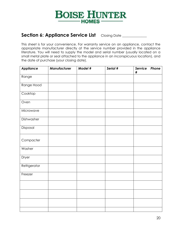

## Section 6: Appliance Service List Closing Date \_\_\_\_\_\_\_\_\_\_

This sheet is for your convenience. For warranty service on an appliance, contact the appropriate manufacturer directly at the service number provided in the appliance literature. You will need to supply the model and serial number (usually located on a small metal plate or seal attached to the appliance in an inconspicuous location), and the date of purchase (your closing date).

| <b>Appliance</b> | Manufacturer | Model # | Serial # | Service<br>Phone<br>$\#$ |
|------------------|--------------|---------|----------|--------------------------|
| Range            |              |         |          |                          |
| Range Hood       |              |         |          |                          |
| Cooktop          |              |         |          |                          |
| Oven             |              |         |          |                          |
| Microwave        |              |         |          |                          |
| Dishwasher       |              |         |          |                          |
| Disposal         |              |         |          |                          |
| Compacter        |              |         |          |                          |
| Washer           |              |         |          |                          |
| Dryer            |              |         |          |                          |
| Refrigerator     |              |         |          |                          |
| Freezer          |              |         |          |                          |
|                  |              |         |          |                          |
|                  |              |         |          |                          |
|                  |              |         |          |                          |
|                  |              |         |          |                          |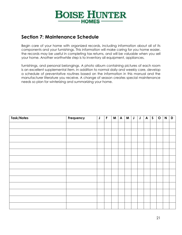

## **Section 7: Maintenance Schedule**

Begin care of your home with organized records, including information about all of its components and your furnishings. This information will make caring for you home easier, the records may be useful in completing tax returns, and will be valuable when you sell your home. Another worthwhile step is to inventory all equipment, appliances,

furnishings, and personal belongings. A photo album containing pictures of each room is an excellent supplemental item. In addition to normal daily and weekly care, develop a schedule of preventative routines based on the information in this manual and the manufacturer literature you receive. A change of season creates special maintenance needs so plan for winterizing and summarizing your home.

| Task/Notes | Frequency | $\mathsf J$ | $\mathsf F$ | M <sub>1</sub> | $\mathsf{A}$ | M | $\mathsf J$ | $\mathsf J$ | $\mathsf{A}$ | $\mathsf{S}$ | $\mathbf O$ | $\mathsf{N}$ | D |
|------------|-----------|-------------|-------------|----------------|--------------|---|-------------|-------------|--------------|--------------|-------------|--------------|---|
|            |           |             |             |                |              |   |             |             |              |              |             |              |   |
|            |           |             |             |                |              |   |             |             |              |              |             |              |   |
|            |           |             |             |                |              |   |             |             |              |              |             |              |   |
|            |           |             |             |                |              |   |             |             |              |              |             |              |   |
|            |           |             |             |                |              |   |             |             |              |              |             |              |   |
|            |           |             |             |                |              |   |             |             |              |              |             |              |   |
|            |           |             |             |                |              |   |             |             |              |              |             |              |   |
|            |           |             |             |                |              |   |             |             |              |              |             |              |   |
|            |           |             |             |                |              |   |             |             |              |              |             |              |   |
|            |           |             |             |                |              |   |             |             |              |              |             |              |   |
|            |           |             |             |                |              |   |             |             |              |              |             |              |   |
|            |           |             |             |                |              |   |             |             |              |              |             |              |   |
|            |           |             |             |                |              |   |             |             |              |              |             |              |   |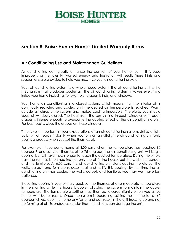# **BOISE HUNTER**  $-HOMES -$

## **Section 8: Boise Hunter Homes Limited Warranty Items**

### **Air Conditioning Use and Maintenance Guidelines**

Air conditioning can greatly enhance the comfort of your home, but if it is used improperly or inefficiently, wasted energy and frustration will result. These hints and suggestions are provided to help you maximize your air conditioning system.

Your air conditioning system is a whole-house system. The air conditioning unit is the mechanism that produces cooler air. The air conditioning system involves everything inside your home including, for example, drapes, blinds, and windows.

Your home air conditioning is a closed system, which means that the interior air is continually recycled and cooled until the desired air temperature is reached. Warm outside air disrupts the system and makes cooling impossible. Therefore, you should keep all windows closed. The heat from the sun shining through windows with open drapes is intense enough to overcome the cooling effect of the air conditioning unit. For best results, close the drapes on these windows.

Time is very important in your expectations of an air conditioning system. Unlike a light bulb, which reacts instantly when you turn on a switch, the air conditioning unit only begins a process when you set the thermostat.

For example, if you come home at 6:00 p.m. when the temperature has reached 90 degrees F and set your thermostat to 75 degrees, the air conditioning unit will begin cooling, but will take much longer to reach the desired temperature. During the whole day, the sun has been heating not only the air in the house, but the walls, the carpet, and the furniture. At 6:00 p.m. the air conditioning unit starts cooling the air, but the walls, carpet, and furniture release heat and nullify this cooling. By the time the air conditioning unit has cooled the walls, carpet, and furniture, you may well have lost patience.

If evening cooling is your primary goal, set the thermostat at a moderate temperature in the morning while the house is cooler, allowing the system to maintain the cooler temperature. The temperature setting may then be lowered slightly when you arrive home, with better results. Once the system is operating, setting the thermostat at 60 degrees will *not* cool the home any faster and can result in the unit freezing up and not performing at all. Extended use under these conditions can damage the unit.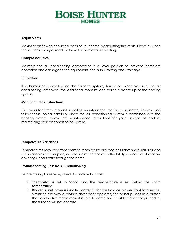# **BOISE HUNTER**  $-HOMES -$

#### **Adjust Vents**

Maximize air flow to occupied parts of your home by adjusting the vents. Likewise, when the seasons change, readjust them for comfortable heating.

#### **Compressor Level**

Maintain the air conditioning compressor in a level position to prevent inefficient operation and damage to the equipment. *See also Grading and Drainage.*

#### **Humidifier**

If a humidifier is installed on the furnace system, turn it off when you use the air conditioning; otherwise, the additional moisture can cause a freeze-up of the cooling system.

#### **Manufacturer's Instructions**

The manufacturer's manual specifies maintenance for the condenser. Review and follow these points carefully. Since the air conditioning system is combined with the heating system, follow the maintenance instructions for your furnace as part of maintaining your air conditioning system.

#### **Temperature Variations**

Temperatures may vary from room to room by several degrees Fahrenheit. This is due to such variables as floor plan, orientation of the home on the lot, type and use of window coverings, and traffic through the home.

#### **Troubleshooting Tips: No Air Conditioning**

Before calling for service, check to confirm that the:

- 1. Thermostat is set to "cool" and the temperature is set below the room temperature.
- 2. Blower panel cover is installed correctly for the furnace blower (fan) to operate. Similar to the way a clothes dryer door operates, this panel pushes in a button that lets the fan motor know it is safe to come on. If that button is not pushed in, the furnace will not operate.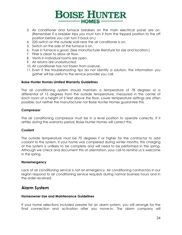# **BOISE HUNTER**  $-HOMES$  –

- 3. Air conditioner and furnace breakers on the main electrical panel are on. (Remember if a breaker trips you must turn it from the tripped position to the off position before you can turn it back on.)
- 4. 220 switch on the outside wall near the air conditioner is on.
- 5. Switch on the side of the furnace is on.
- 6. Fuse in furnace is good. (See manufacturer literature for size and location.)
- 7. Filter is clean to allow air flow.
- 8. Vents in individual rooms are open.
- 9. Air returns are unobstructed.
- 10. Air conditioner has not frozen from overuse.
- 11. Even if the troubleshooting tips do not identify a solution, the information you gather will be useful to the service provider you call.

#### **Boise Hunter Homes Limited Warranty Guidelines**

The air conditioning system should maintain a temperature of 78 degrees or a differential of 15 degrees from the outside temperature, measured in the center of each room at a height of 5 feet above the floor. Lower temperature settings are often possible, but neither the manufacturer nor Boise Hunter Homes guarantee this.

#### **Compressor**

The air conditioning compressor must be in a level position to operate correctly. If it settles during the warranty period, Boise Hunter Homes will correct this.

#### **Coolant**

The outside temperature must be 70 degrees F or higher for the contractor to add coolant to the system. If your home was completed during winter months, this charging of the system is unlikely to be complete and will need to be performed in the spring. Although we check and document this at orientation, your call to remind us is welcome in the spring.

#### **Nonemergency**

Lack of air conditioning service is not an emergency. Air conditioning contractors in our region respond to air conditioning service requests during normal business hours and in the order received.

### **Alarm System**

#### **Homeowner Use and Maintenance Guidelines**

If your home selections included prewire for an alarm system, you will arrange for the final connection and activation after you move-in. The alarm company will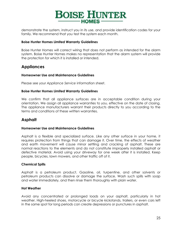

demonstrate the system, instruct you in its use, and provide identification codes for your family. We recommend that you test the system each month.

#### **Boise Hunter Homes Limited Warranty Guidelines**

Boise Hunter Homes will correct wiring that does not perform as intended for the alarm system. Boise Hunter Homes makes no representation that the alarm system will provide the protection for which it is installed or intended.

#### **Appliances**

#### **Homeowner Use and Maintenance Guidelines**

Please see your *Appliance Service* information sheet.

#### **Boise Hunter Homes Limited Warranty Guidelines**

We confirm that all appliance surfaces are in acceptable condition during your orientation. We assign all appliance warranties to you, effective on the date of closing. The appliance manufacturers warrant their products directly to you according to the terms and conditions of these written warranties.

### **Asphalt**

#### **Homeowner Use and Maintenance Guidelines**

Asphalt is a flexible and specialized surface. Like any other surface in your home, it requires protection from things that can damage it. Over time, the effects of weather and earth movement will cause minor settling and cracking of asphalt. These are normal reactions to the elements and do not constitute improperly installed asphalt or defective material. Avoid using your driveway for one week after it is installed. Keep people, bicycles, lawn mowers, and other traffic off of it.

#### **Chemical Spills**

Asphalt is a petroleum product. Gasoline, oil, turpentine, and other solvents or petroleum products can dissolve or damage the surface. Wash such spills with soap and water immediately, and then rinse them thoroughly with plain water.

#### **Hot Weather**

Avoid any concentrated or prolonged loads on your asphalt, particularly in hot weather. High-heeled shoes, motorcycle or bicycle kickstands, trailers, or even cars left in the same spot for long periods can create depressions or punctures in asphalt.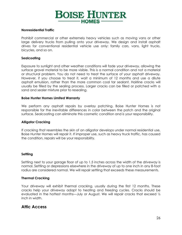

#### **Nonresidential Traffic**

Prohibit commercial or other extremely heavy vehicles such as moving vans or other large delivery trucks from pulling onto your driveway. We design and install asphalt drives for conventional residential vehicle use only: family cars, vans, light trucks, bicycles, and so on.

#### **Sealcoating**

Exposure to sunlight and other weather conditions will fade your driveway, allowing the surface gravel material to be more visible. This is a normal condition and not a material or structural problem. You do not need to treat the surface of your asphalt driveway. However, if you choose to treat it, wait a minimum of 12 months and use a dilute asphalt emulsion, rather than the more common coal tar sealant. Hairline cracks will usually be filled by the sealing process. Larger cracks can be filled or patched with a sand and sealer mixture prior to resealing.

#### **Boise Hunter Homes Limited Warranty**

We perform any asphalt repairs by overlay patching. Boise Hunter Homes is not responsible for the inevitable differences in color between the patch and the original surface. Sealcoating can eliminate this cosmetic condition and is your responsibility.

#### **Alligator Cracking**

If cracking that resembles the skin of an alligator develops under normal residential use, Boise Hunter Homes will repair it. If improper use, such as heavy truck traffic, has caused the condition, repairs will be your responsibility.

#### **Settling**

Settling next to your garage floor of up to 1.5 inches across the width of the driveway is normal. Settling or depressions elsewhere in the driveway of up to one inch in any 8-foot radius are considered normal. We will repair settling that exceeds these measurements.

#### **Thermal Cracking**

Your driveway will exhibit thermal cracking, usually during the first 12 months. These cracks help your driveway adapt to heating and freezing cycles. Cracks should be evaluated in the hottest months—July or August. We will repair cracks that exceed 1/2 inch in width.

#### **Attic Access**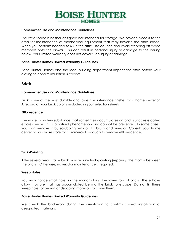

#### **Homeowner Use and Maintenance Guidelines**

The attic space is neither designed nor intended for storage. We provide access to this area for maintenance of mechanical equipment that may traverse the attic space. When you perform needed tasks in the attic, use caution and avoid stepping off wood members onto the drywall. This can result in personal injury or damage to the ceiling below. Your limited warranty does not cover such injury or damage.

#### **Boise Hunter Homes Limited Warranty Guidelines**

Boise Hunter Homes and the local building department inspect the attic before your closing to confirm insulation is correct.

#### **Brick**

#### **Homeowner Use and Maintenance Guidelines**

Brick is one of the most durable and lowest maintenance finishes for a home's exterior. A record of your brick color is included in your selection sheets.

#### **Efflorescence**

The white, powdery substance that sometimes accumulates on brick surfaces is called efflorescence. This is a natural phenomenon and cannot be prevented. In some cases, you can remove it by scrubbing with a stiff brush and vinegar. Consult your home center or hardware store for commercial products to remove efflorescence.

#### **Tuck-Pointing**

After several years, face brick may require tuck-pointing (repairing the mortar between the bricks). Otherwise, no regular maintenance is required.

#### **Weep Holes**

You may notice small holes in the mortar along the lower row of bricks. These holes allow moisture that has accumulated behind the brick to escape. Do not fill these weep holes or permit landscaping materials to cover them.

#### **Boise Hunter Homes Limited Warranty Guidelines**

We check the brick-work during the orientation to confirm correct installation of designated materials.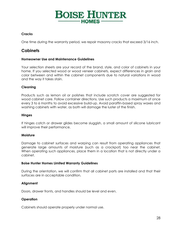# **BOISE HUNTER HOMES-**

#### **Cracks**

One time during the warranty period, we repair masonry cracks that exceed 3/16 inch.

### **Cabinets**

#### **Homeowner Use and Maintenance Guidelines**

Your selection sheets are your record of the brand, style, and color of cabinets in your home. If you selected wood or wood veneer cabinets, expect differences in grain and color between and within the cabinet components due to natural variations in wood and the way it takes stain.

#### **Cleaning**

Products such as lemon oil or polishes that include scratch cover are suggested for wood cabinet care. Follow container directions. Use such products a maximum of once every 3 to 6 months to avoid excessive build-up. Avoid paraffin-based spray waxes and washing cabinets with water, as both will damage the luster of the finish.

#### **Hinges**

If hinges catch or drawer glides become sluggish, a small amount of silicone lubricant will improve their performance.

#### **Moisture**

Damage to cabinet surfaces and warping can result from operating appliances that generate large amounts of moisture (such as a crockpot) too near the cabinet. When operating such appliances, place them in a location that is not directly under a cabinet.

#### **Boise Hunter Homes Limited Warranty Guidelines**

During the orientation, we will confirm that all cabinet parts are installed and that their surfaces are in acceptable condition.

#### **Alignment**

Doors, drawer fronts, and handles should be level and even.

#### **Operation**

Cabinets should operate properly under normal use.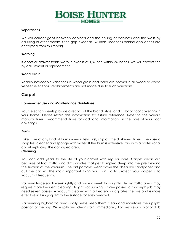

#### **Separations**

We will correct gaps between cabinets and the ceiling or cabinets and the walls by caulking or other means if the gap exceeds 1/8 inch (locations behind appliances are accepted from this repair).

#### **Warping**

If doors or drawer fronts warp in excess of 1/4 inch within 24 inches, we will correct this by adjustment or replacement.

#### **Wood Grain**

Readily noticeable variations in wood grain and color are normal in all wood or wood veneer selections. Replacements are not made due to such variations.

#### **Carpet**

#### **Homeowner Use and Maintenance Guidelines**

Your selection sheets provide a record of the brand, style, and color of floor coverings in your home. Please retain this information for future reference. Refer to the various manufacturers' recommendations for additional information on the care of your floor coverings.

#### **Burns**

Take care of any kind of burn immediately. First, snip off the darkened fibers. Then use a soap less cleaner and sponge with water. If the burn is extensive, talk with a professional about replacing the damaged area.

#### **Cleaning**

You can add years to the life of your carpet with regular care. Carpet wears out because of foot traffic and dirt particles that get trampled deep into the pile beyond the suction of the vacuum. The dirt particles wear down the fibers like sandpaper and dull the carpet. The most important thing you can do to protect your carpet is to vacuum it frequently.

Vacuum twice each week lightly and once a week thoroughly. Heavy traffic areas may require more frequent cleaning. A light vacuuming is three passes; a thorough job may need seven passes. A vacuum cleaner with a beater-bar agitates the pile and is more effective in bringing dirt to the surface for easy removal.

Vacuuming high-traffic areas daily helps keep them clean and maintains the upright position of the nap. Wipe spills and clean stains immediately. For best results, blot or dab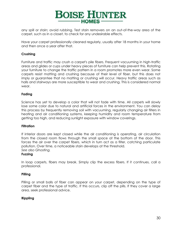

any spill or stain; avoid rubbing. Test stain removers on an out-of-the-way area of the carpet, such as in a closet, to check for any undesirable effects.

Have your carpet professionally cleaned regularly, usually after 18 months in your home and then once a year after that.

#### **Crushing**

Furniture and traffic may crush a carpet's pile fibers. Frequent vacuuming in high-traffic areas and glides or cups under heavy pieces of furniture can help prevent this. Rotating your furniture to change the traffic pattern in a room promotes more even wear. Some carpets resist matting and crushing because of their level of fiber, but this does not imply or guarantee that no matting or crushing will occur. Heavy traffic areas such as halls and stairways are more susceptible to wear and crushing. This is considered normal wear.

#### **Fading**

Science has yet to develop a color that will not fade with time. All carpets will slowly lose some color due to natural and artificial forces in the environment. You can delay this process by frequently removing soil with vacuuming, regularly changing air filters in heating and air conditioning systems, keeping humidity and room temperature from getting too high, and reducing sunlight exposure with window coverings.

#### **Filtration**

If interior doors are kept closed while the air conditioning is operating, air circulation from the closed room flows through the small space at the bottom of the door. This forces the air over the carpet fibers, which in turn act as a filter, catching particulate pollution. Over time, a noticeable stain develops at the threshold. *See also Ghosting.*

#### **Fuzzing**

In loop carpets, fibers may break. Simply clip the excess fibers. If it continues, call a professional.

#### **Pilling**

Pilling or small balls of fiber can appear on your carpet, depending on the type of carpet fiber and the type of traffic. If this occurs, clip off the pills. If they cover a large area, seek professional advice.

#### **Rippling**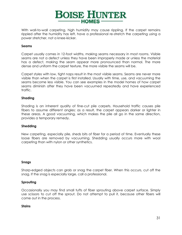

With wall-to-wall carpeting, high humidity may cause rippling. If the carpet remains rippled after the humidity has left, have a professional re-stretch the carpeting using a power stretcher, not a knee-kicker.

#### **Seams**

Carpet usually comes in 12-foot widths, making seams necessary in most rooms. Visible seams are not a defect unless they have been improperly made or unless the material has a defect, making the seam appear more pronounced than normal. The more dense and uniform the carpet texture, the more visible the seams will be.

Carpet styles with low, tight naps result in the most visible seams. Seams are never more visible than when the carpet is first installed. Usually with time, use, and vacuuming the seams become less visible. You can see examples in the model homes of how carpet seams diminish after they have been vacuumed repeatedly and have experienced traffic.

#### **Shading**

Shading is an inherent quality of fine-cut pile carpets. Household traffic causes pile fibers to assume different angles; as a result, the carpet appears darker or lighter in these areas. A good vacuuming, which makes the pile all go in the same direction, provides a temporary remedy.

#### **Shedding**

New carpeting, especially pile, sheds bits of fiber for a period of time. Eventually these loose fibers are removed by vacuuming. Shedding usually occurs more with wool carpeting than with nylon or other synthetics.

#### **Snags**

Sharp-edged objects can grab or snag the carpet fiber. When this occurs, cut off the snag. If the snag is especially large, call a professional.

#### **Sprouting**

Occasionally you may find small tufts of fiber sprouting above carpet surface. Simply use scissors to cut off the sprout. Do not attempt to pull it, because other fibers will come out in the process.

#### **Stains**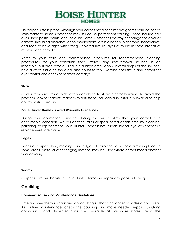

No carpet is stain-proof. Although your carpet manufacturer designates your carpet as stain-resistant, some substances may still cause permanent staining. These include hair dyes, shoe polish, paints, and India ink. Some substances destroy or change the color of carpets, including bleaches, acne medications, drain cleaners, plant food, insecticides, and food or beverages with strongly colored natural dyes as found in some brands of mustard and herbal tea.

Refer to your care and maintenance brochures for recommended cleaning procedures for your particular fiber. Pretest any spot-removal solution in an inconspicuous area before using it in a large area. Apply several drops of the solution, hold a white tissue on the area, and count to ten. Examine both tissue and carpet for dye transfer and check for carpet damage.

#### **Static**

Cooler temperatures outside often contribute to static electricity inside. To avoid the problem, look for carpets made with anti-static. You can also install a humidifier to help control static build-up.

#### **Boise Hunter Homes Limited Warranty Guidelines**

During your orientation, prior to closing, we will confirm that your carpet is in acceptable condition. We will correct stains or spots noted at this time by cleaning, patching, or replacement. Boise Hunter Homes is not responsible for dye lot variations if replacements are made.

#### **Edges**

Edges of carpet along moldings and edges of stairs should be held firmly in place. In some areas, metal or other edging material may be used where carpet meets another floor covering.

#### **Seams**

Carpet seams will be visible. Boise Hunter Homes will repair any gaps or fraying.

### **Caulking**

#### **Homeowner Use and Maintenance Guidelines**

Time and weather will shrink and dry caulking so that it no longer provides a good seal. As routine maintenance, check the caulking and make needed repairs. Caulking compounds and dispenser guns are available at hardware stores. Read the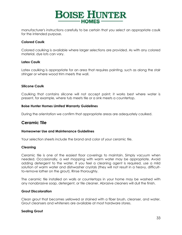

manufacturer's instructions carefully to be certain that you select an appropriate caulk for the intended purpose.

#### **Colored Caulk**

Colored caulking is available where larger selections are provided. As with any colored material, dye lots can vary.

#### **Latex Caulk**

Latex caulking is appropriate for an area that requires painting, such as along the stair stringer or where wood trim meets the wall.

#### **Silicone Caulk**

Caulking that contains silicone will not accept paint; it works best where water is present, for example, where tub meets tile or a sink meets a countertop.

#### **Boise Hunter Homes Limited Warranty Guidelines**

During the orientation we confirm that appropriate areas are adequately caulked.

#### **Ceramic Tile**

#### **Homeowner Use and Maintenance Guidelines**

Your selection sheets include the brand and color of your ceramic tile.

#### **Cleaning**

Ceramic tile is one of the easiest floor coverings to maintain. Simply vacuum when needed. Occasionally, a wet mopping with warm water may be appropriate. Avoid adding detergent to the water. If you feel a cleaning agent is required, use a mild solution of warm water and dishwasher crystals (they will not result in a heavy, difficultto-remove lather on the grout). Rinse thoroughly.

The ceramic tile installed on walls or countertops in your home may be washed with any nonabrasive soap, detergent, or tile cleaner. Abrasive cleaners will dull the finish.

#### **Grout Discoloration**

Clean grout that becomes yellowed or stained with a fiber brush, cleanser, and water. Grout cleansers and whiteners are available at most hardware stores.

#### **Sealing Grout**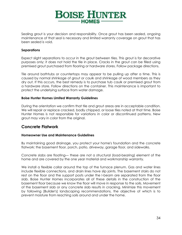

Sealing grout is your decision and responsibility. Once grout has been sealed, ongoing maintenance of that seal is necessary and limited warranty coverage on grout that has been sealed is void.

#### **Separations**

Expect slight separations to occur in the grout between tiles. This grout is for decorative purposes only; it does not hold the tile in place. Cracks in the grout can be filled using premixed grout purchased from flooring or hardware stores. Follow package directions.

Tile around bathtubs or countertops may appear to be pulling up after a time. This is caused by normal shrinkage of grout or caulk and shrinkage of wood members as they dry out. If this occurs, the best remedy is to purchase tub caulk or premixed grout from a hardware store. Follow directions on the container. This maintenance is important to protect the underlying surface from water damage.

#### **Boise Hunter Homes Limited Warranty Guidelines**

During the orientation we confirm that tile and grout areas are in acceptable condition. We will repair or replace cracked, badly chipped, or loose tiles noted at that time. Boise Hunter Homes is not responsible for variations in color or discontinued patterns. New grout may vary in color from the original.

#### **Concrete Flatwork**

#### **Homeowner Use and Maintenance Guidelines**

By maintaining good drainage, you protect your home's foundation and the concrete flatwork: the basement floor, porch, patio, driveway, garage floor, and sidewalks.

Concrete slabs are floating— these are not a structural (load-bearing) element of the home and are covered by the one year material and workmanship warranty.

We install a flexible collar around the top of the furnace plenum. Gas and water lines include flexible connections, and drain lines have slip joints. The basement stairs do not rest on the floor and the support posts under the I-beam are separated from the floor slab. Boise Hunter Homes incorporates all of these details in the construction of the basement floor because we know the floor will move in response to the soils. Movement of the basement slab or any concrete slab results in cracking. Minimize this movement by following [Builder's] landscaping recommendations, the objective of which is to prevent moisture from reaching soils around and under the home.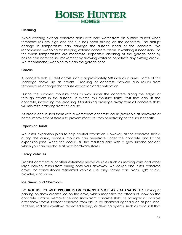

#### **Cleaning**

Avoid washing exterior concrete slabs with cold water from an outside faucet when temperatures are high and the sun has been shining on the concrete. The abrupt change in temperature can damage the surface bond of the concrete. We recommend sweeping for keeping exterior concrete clean. If washing is necessary, do this when temperatures are moderate. Repeated cleaning of the garage floor by hosing can increase soil movement by allowing water to penetrate any existing cracks. We recommend sweeping to clean the garage floor.

#### **Cracks**

A concrete slab 10 feet across shrinks approximately 5/8 inch as it cures. Some of this shrinkage shows up as cracks. Cracking of concrete flatwork also results from temperature changes that cause expansion and contraction.

During the summer, moisture finds its way under the concrete along the edges or through cracks in the surface. In winter, this moisture forms frost that can lift the concrete, increasing the cracking. Maintaining drainage away from all concrete slabs will minimize cracking from this cause.

As cracks occur, seal them with a waterproof concrete caulk (available at hardware or home improvement stores) to prevent moisture from penetrating to the soil beneath.

#### **Expansion Joints**

We install expansion joints to help control expansion. However, as the concrete shrinks during the curing process, moisture can penetrate under the concrete and lift the expansion joint. When this occurs, fill the resulting gap with a gray silicone sealant, which you can purchase at most hardware stores.

#### **Heavy Vehicles**

Prohibit commercial or other extremely heavy vehicles such as moving vans and other large delivery trucks from pulling onto your driveway. We design and install concrete drives for conventional residential vehicle use only: family cars, vans, light trucks, bicycles, and so on.

#### **Ice, Snow, and Chemicals**

**DO NOT USE ICE MELT PRODUCTS ON CONCRETE SUCH AS ROAD SALTS ETC.** Driving or parking on snow creates ice on the drive, which magnifies the effects of snow on the concrete surface. Remove ice and snow from concrete slabs as promptly as possible after snow storms. Protect concrete from abuse by chemical agents such as pet urine, fertilizers, radiator overflow, repeated hosing, or de-icing agents, such as road salt that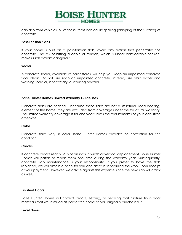

can drip from vehicles. All of these items can cause spalling (chipping of the surface) of concrete.

#### **Post-Tension Slabs**

If your home is built on a post-tension slab, avoid any action that penetrates the concrete. The risk of hitting a cable or tendon, which is under considerable tension, makes such actions dangerous.

#### **Sealer**

A concrete sealer, available at paint stores, will help you keep an unpainted concrete floor clean. Do not use soap on unpainted concrete. Instead, use plain water and washing soda or, if necessary, a scouring powder.

#### **Boise Hunter Homes Limited Warranty Guidelines**

Concrete slabs are floating— because these slabs are not a structural (load-bearing) element of the home, they are excluded from coverage under the structural warranty. The limited warranty coverage is for one year unless the requirements of your loan state otherwise.

#### **Color**

Concrete slabs vary in color. Boise Hunter Homes provides no correction for this condition.

#### **Cracks**

If concrete cracks reach 3/16 of an inch in width or vertical displacement, Boise Hunter Homes will patch or repair them one time during the warranty year. Subsequently, concrete slab maintenance is your responsibility. If you prefer to have the slab replaced, we will obtain a price for you and assist in scheduling the work upon receipt of your payment. However, we advise against this expense since the new slab will crack as well.

#### **Finished Floors**

Boise Hunter Homes will correct cracks, settling, or heaving that rupture finish floor materials that we installed as part of the home as you originally purchased it.

#### **Level Floors**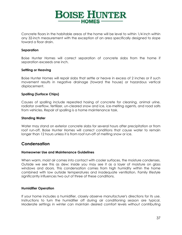

Concrete floors in the habitable areas of the home will be level to within 1/4 inch within any 32-inch measurement with the exception of an area specifically designed to slope toward a floor drain.

#### **Separation**

Boise Hunter Homes will correct separation of concrete slabs from the home if separation exceeds one inch.

#### **Settling or Heaving**

Boise Hunter Homes will repair slabs that settle or heave in excess of 2 inches or if such movement results in negative drainage (toward the house) or hazardous vertical displacement.

#### **Spalling (Surface Chips)**

Causes of spalling include repeated hosing of concrete for cleaning, animal urine, radiator overflow, fertilizer, un-cleared snow and ice, ice-melting agents, and road salts from vehicles. Repair of spalling is a home maintenance task.

#### **Standing Water**

Water may stand on exterior concrete slabs for several hours after precipitation or from roof run-off. Boise Hunter Homes will correct conditions that cause water to remain longer than 12 hours unless it is from roof run-off of melting snow or ice.

# **Condensation**

#### **Homeowner Use and Maintenance Guidelines**

When warm, moist air comes into contact with cooler surfaces, the moisture condenses. Outside we see this as dew; inside you may see it as a layer of moisture on glass windows and doors. This condensation comes from high humidity within the home combined with low outside temperatures and inadequate ventilation. Family lifestyle significantly influences two out of three of these conditions.

#### **Humidifier Operation**

If your home includes a humidifier, closely observe manufacturer's directions for its use. Instructions to turn the humidifier off during air conditioning season are typical. Moderate settings in winter can maintain desired comfort levels without contributing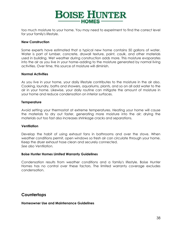

too much moisture to your home. You may need to experiment to find the correct level for your family's lifestyle.

#### **New Construction**

Some experts have estimated that a typical new home contains 50 gallons of water. Water is part of lumber, concrete, drywall texture, paint, caulk, and other materials used in building. Wet weather during construction adds more. This moisture evaporates into the air as you live in your home–adding to the moisture generated by normal living activities. Over time, this source of moisture will diminish.

#### **Normal Activities**

As you live in your home, your daily lifestyle contributes to the moisture in the air also. Cooking, laundry, baths and showers, aquariums, plants, and so on all add water to the air in your home. Likewise, your daily routine can mitigate the amount of moisture in your home and reduce condensation on interior surfaces.

#### **Temperature**

Avoid setting your thermostat at extreme temperatures. Heating your home will cause the materials to dry out faster, generating more moisture into the air; drying the materials out too fast also increases shrinkage cracks and separations.

#### **Ventilation**

Develop the habit of using exhaust fans in bathrooms and over the stove. When weather conditions permit, open windows so fresh air can circulate through your home. Keep the dryer exhaust hose clean and securely connected. *See also Ventilation.*

#### **Boise Hunter Homes Limited Warranty Guidelines**

Condensation results from weather conditions and a family's lifestyle. Boise Hunter Homes has no control over these factors. The limited warranty coverage excludes condensation.

# **Countertops**

#### **Homeowner Use and Maintenance Guidelines**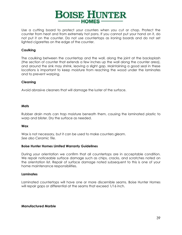

Use a cutting board to protect your counters when you cut or chop. Protect the counter from heat and from extremely hot pans. If you cannot put your hand on it, do not put it on the counter. Do not use countertops as ironing boards and do not set lighted cigarettes on the edge of the counter.

#### **Caulking**

The caulking between the countertop and the wall, along the joint at the backsplash (the section of counter that extends a few inches up the wall along the counter area), and around the sink may shrink, leaving a slight gap. Maintaining a good seal in these locations is important to keep moisture from reaching the wood under the laminates and to prevent warping.

#### **Cleaning**

Avoid abrasive cleaners that will damage the luster of the surface.

#### **Mats**

Rubber drain mats can trap moisture beneath them, causing the laminated plastic to warp and blister. Dry the surface as needed.

#### **Wax**

Wax is not necessary, but it can be used to make counters gleam. *See also Ceramic Tile.*

#### **Boise Hunter Homes Limited Warranty Guidelines**

During your orientation we confirm that all countertops are in acceptable condition. We repair noticeable surface damage such as chips, cracks, and scratches noted on the orientation list. Repair of surface damage noted subsequent to this is one of your home maintenance responsibilities.

#### **Laminates**

Laminated countertops will have one or more discernible seams. Boise Hunter Homes will repair gaps or differential at the seams that exceed 1/16 inch.

#### **Manufactured Marble**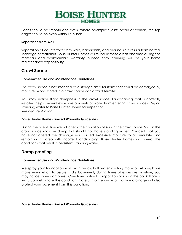

Edges should be smooth and even. Where backsplash joints occur at corners, the top edges should be even within 1/16 inch.

#### **Separation from Wall**

Separation of countertops from walls, backsplash, and around sinks results from normal shrinkage of materials. Boise Hunter Homes will re-caulk these areas one time during the materials and workmanship warranty. Subsequently caulking will be your home maintenance responsibility.

# **Crawl Space**

#### **Homeowner Use and Maintenance Guidelines**

The crawl space is not intended as a storage area for items that could be damaged by moisture. Wood stored in a crawl space can attract termites.

You may notice slight dampness in the crawl space. Landscaping that is correctly installed helps prevent excessive amounts of water from entering crawl spaces. Report standing water to Boise Hunter Homes for inspection. *See also Ventilation.*

#### **Boise Hunter Homes Limited Warranty Guidelines**

During the orientation we will check the condition of soils in the crawl space. Soils in the crawl space may be damp but should not have standing water. Provided that you have not altered the drainage nor caused excessive moisture to accumulate and remain in this area with incorrect landscaping, Boise Hunter Homes will correct the conditions that result in persistent standing water.

# **Damp proofing**

#### **Homeowner Use and Maintenance Guidelines**

We spray your foundation walls with an asphalt waterproofing material. Although we make every effort to assure a dry basement, during times of excessive moisture, you may notice some dampness. Over time, natural compaction of soils in the backfill areas will usually eliminate this condition. Careful maintenance of positive drainage will also protect your basement from this condition.

#### **Boise Hunter Homes Limited Warranty Guidelines**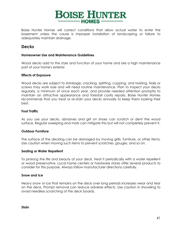

Boise Hunter Homes will correct conditions that allow actual water to enter the basement unless the cause is improper installation of landscaping or failure to adequately maintain drainage.

# **Decks**

#### **Homeowner Use and Maintenance Guidelines**

Wood decks add to the style and function of your home and are a high maintenance part of your home's exterior.

#### **Effects of Exposure**

Wood decks are subject to shrinkage, cracking, splitting, cupping, and twisting. Nails or screws may work lose and will need routine maintenance. Plan to inspect your decks regularly, a minimum of once each year, and provide needed attention promptly to maintain an attractive appearance and forestall costly repairs. Boise Hunter Homes recommends that you treat or re-stain your decks annually to keep them looking their best.

#### **Foot Traffic**

As you use your decks, abrasives and grit on shoes can scratch or dent the wood surface. Regular sweeping and mats can mitigate this but will not completely prevent it.

#### **Outdoor Furniture**

The surface of the decking can be damaged by moving grills, furniture, or other items. Use caution when moving such items to prevent scratches, gouges, and so on.

#### **Sealing or Water Repellent**

To prolong the life and beauty of your deck, treat it periodically with a water repellent or wood preservative. Local home centers or hardware stores offer several products to consider for this purpose. Always follow manufacturer directions carefully.

#### **Snow and Ice**

Heavy snow or ice that remains on the deck over long periods increases wear and tear on the deck. Prompt removal can reduce adverse effects. Use caution in shoveling to avoid needless scratching of the deck boards.

**Stain**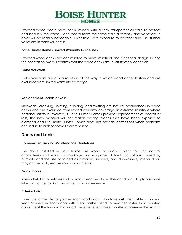

Exposed wood decks have been stained with a semi-transparent oil stain to protect and beautify the wood. Each board takes the same stain differently and variations in color will be readily noticeable. Over time, with exposure to weather and use, further variations in color will occur.

#### **Boise Hunter Homes Limited Warranty Guidelines**

Exposed wood decks are constructed to meet structural and functional design. During the orientation, we will confirm that the wood decks are in satisfactory condition.

#### **Color Variation**

Color variations are a natural result of the way in which wood accepts stain and are excluded from limited warranty coverage.

#### **Replacement Boards or Rails**

Shrinkage, cracking, splitting, cupping, and twisting are natural occurrences in wood decks and are excluded from limited warranty coverage. In extreme situations where personal safety is involved, if Boise Hunter Homes provides replacement of boards or rails, the new material will not match existing pieces that have been exposed to elements and use. Boise Hunter Homes does not provide corrections when problems occur due to lack of normal maintenance.

# **Doors and Locks**

#### **Homeowner Use and Maintenance Guidelines**

The doors installed in your home are wood products subject to such natural characteristics of wood as shrinkage and warpage. Natural fluctuations caused by humidity and the use of forced air furnaces, showers, and dishwashers, interior doors may occasionally require minor adjustments.

#### **Bi-fold Doors**

Interior bi-folds sometimes stick or warp because of weather conditions. Apply a silicone lubricant to the tracks to minimize this inconvenience.

#### **Exterior Finish**

To ensure longer life for your exterior wood doors, plan to refinish them at least once a year. Stained exterior doors with clear finishes tend to weather faster than painted doors. Treat the finish with a wood preserver every three months to preserve the varnish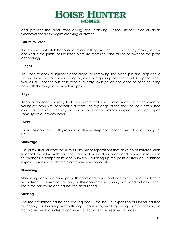

and prevent the door from drying and cracking. Reseal stained exterior doors whenever the finish begins cracking or crazing.

#### **Failure to Latch**

If a door will not latch because of minor settling, you can correct this by making a new opening in the jamb for the latch plate (re-mortising) and raising or lowering the plate accordingly.

#### **Hinges**

You can remedy a squeaky door hinge by removing the hinge pin and applying a silicone lubricant to it. Avoid using oil, as it can gum up or attract dirt. Graphite works well as a lubricant but can create a gray smudge on the door or floor covering beneath the hinge if too much is applied.

#### **Keys**

Keep a duplicate privacy lock key where children cannot reach it in the event a youngster locks him- or herself in a room. The top edge of the door casing is often used as a place to keep the key. A small screwdriver or similarly shaped device can open some types of privacy locks.

#### **Locks**

Lubricate door locks with graphite or other waterproof lubricant. Avoid oil, as it will gum up.

#### **Shrinkage**

Use putty, filler, or latex caulk to fill any minor separations that develop at mitered joints in door trim. Follow with painting. Panels of wood doors shrink and expand in response to changes in temperature and humidity. Touching up the paint or stain on unfinished exposed areas is your home maintenance responsibility.

#### **Slamming**

Slamming doors can damage both doors and jambs and can even cause cracking in walls. Teach children not to hang on the doorknob and swing back and forth; this works loose the hardware and causes the door to sag.

#### **Sticking**

The most common cause of a sticking door is the natural expansion of lumber caused by changes in humidity. When sticking is caused by swelling during a damp season, do not plane the door unless it continues to stick after the weather changes.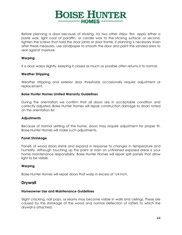

Before planning a door because of sticking, try two other steps: first, apply either a paste wax, light coat of paraffin, or candle wax to the sticking surface; or second, tighten the screws that hold the door jamb or door frame. If planning is necessary even after these measures, use sandpaper to smooth the door and paint the sanded area to seal against moisture.

#### **Warping**

If a door warps slightly, keeping it closed as much as possible often returns it to normal.

#### **Weather Stripping**

Weather stripping and exterior door thresholds occasionally require adjustment or replacement.

#### **Boise Hunter Homes Limited Warranty Guidelines**

During the orientation we confirm that all doors are in acceptable condition and correctly adjusted. Boise Hunter Homes will repair construction damage to doors noted on the orientation list.

#### **Adjustments**

Because of normal settling of the home, doors may require adjustment for proper fit. Boise Hunter Homes will make such adjustments.

#### **Panel Shrinkage**

Panels of wood doors shrink and expand in response to changes in temperature and humidity. Although touching up the paint or stain on unfinished exposed areas is your home maintenance responsibility, Boise Hunter Homes will repair split panels that allow light to be visible.

#### **Warping**

Boise Hunter Homes will repair doors that warp in excess of 1/4 inch.

### **Drywall**

#### **Homeowner Use and Maintenance Guidelines**

Slight cracking, nail pops, or seams may become visible in walls and ceilings. These are caused by the shrinkage of the wood and normal deflection of rafters to which the drywall is attached.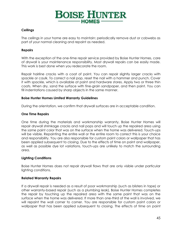

#### **Ceilings**

The ceilings in your home are easy to maintain: periodically remove dust or cobwebs as part of your normal cleaning and repaint as needed.

#### **Repairs**

With the exception of the one-time repair service provided by Boise Hunter Homes, care of drywall is your maintenance responsibility. Most drywall repairs can be easily made. This work is best done when you redecorate the room.

Repair hairline cracks with a coat of paint. You can repair slightly larger cracks with spackle or caulk. To correct a nail pop, reset the nail with a hammer and punch. Cover it with spackle, which is available at paint and hardware stores. Apply two or three thin coats. When dry, sand the surface with fine-grain sandpaper, and then paint. You can fill indentations caused by sharp objects in the same manner.

#### **Boise Hunter Homes Limited Warranty Guidelines**

During the orientation, we confirm that drywall surfaces are in acceptable condition.

#### **One Time Repairs**

One time during the materials and workmanship warranty, Boise Hunter Homes will repair drywall shrinkage cracks and nail pops and will touch up the repaired area using the same paint color that was on the surface when the home was delivered. Touch-ups will be visible. Repainting the entire wall or the entire room to correct this is your choice and responsibility. You are also responsible for custom paint colors or wallpaper that has been applied subsequent to closing. Due to the effects of time on paint and wallpaper, as well as possible dye lot variations, touch-ups are unlikely to match the surrounding area.

#### **Lighting Conditions**

Boise Hunter Homes does not repair drywall flaws that are only visible under particular lighting conditions.

#### **Related Warranty Repairs**

If a drywall repair is needed as a result of poor workmanship (such as blisters in tape) or other warranty-based repair (such as a plumbing leak), Boise Hunter Homes completes the repair by touching up the repaired area with the same paint that was on the surface when the home was delivered. If more than one-third of the wall is involved, we will repaint the wall corner to corner. You are responsible for custom paint colors or wallpaper that has been applied subsequent to closing. The effects of time on paint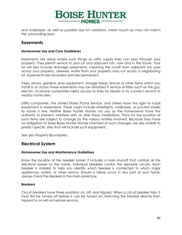

and wallpaper, as well as possible dye lot variations, mean touch-up may not match the surrounding area.

# **Easements**

#### **Homeowner Use and Care Guidelines**

Easements are areas where such things as utility supply lines can pass through your property. They permit service to your lot and adjacent lots, now and in the future. Your lot will also include drainage easements, meaning the runoff from adjacent lots pass across your property. Likewise, water from your property may run across a neighboring lot. Easements are recorded and are permanent.

Trees, shrubs, gardens, play equipment, storage sheds, fences or other items which you install in or across these easements may be disturbed if service entities–such as the gas, electric, or phone companies–need access to lines for repairs or to connect service to nearby home sites.

Utility companies, the United States Postal Service, and others have the right to install equipment in easements. These might include streetlights, mailboxes, or junction boxes to name a few. Neither Boise Hunter Homes nor you as the homeowner have the authority to prevent, interfere with, or alter these installations. Plans for the location of such items are subject to change by the various entities involved. Because they have no obligation to keep Boise Hunter Homes informed of such changes, we are unable to predict specific sites that will include such equipment.

*See also Property Boundaries.*

# **Electrical System**

#### **Homeowner Use and Maintenance Guidelines**

Know the location of the breaker panel; it includes a main shut-off that controls all the electrical power to the home. Individual breakers control the separate circuits. Each breaker is marked to help you identify which breaker is connected to which major appliances, outlets, or other service. Should a failure occur in any part of your home, always check the breakers in the main panel box.

#### **Breakers**

Circuit breakers have three positions: on, off, and tripped. When a circuit breaker trips, it must first be turned off before it can be turned on. Switching the breaker directly from tripped to on will not restore service.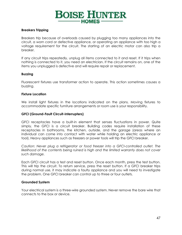

#### **Breakers Tripping**

Breakers trip because of overloads caused by plugging too many appliances into the circuit, a worn cord or defective appliance, or operating an appliance with too high a voltage requirement for the circuit. The starting of an electric motor can also trip a breaker.

If any circuit trips repeatedly, unplug all items connected to it and reset. If it trips when nothing is connected to it, you need an electrician. If the circuit remains on, one of the items you unplugged is defective and will require repair or replacement.

#### **Buzzing**

Fluorescent fixtures use transformer action to operate. This action sometimes causes a buzzing.

#### **Fixture Location**

We install light fixtures in the locations indicated on the plans. Moving fixtures to accommodate specific furniture arrangements or room use is your responsibility.

#### **GFCI (Ground-Fault Circuit-Interrupters)**

GFCI receptacles have a built-in element that senses fluctuations in power. Quite simply, the GFCI is a circuit breaker. Building codes require installation of these receptacles in bathrooms, the kitchen, outside, and the garage (areas where an individual can come into contact with water while holding an electric appliance or tool). Heavy appliances such as freezers or power tools will trip the GFCI breaker.

*Caution: Never plug a refrigerator or food freezer into a GFCI-controlled outlet. The*  likelihood of the contents being ruined is high and the limited warranty does not cover *such damage.*

Each GFCI circuit has a test and reset button. Once each month, press the test button. This will trip the circuit. To return service, press the reset button. If a GFCI breaker trips during normal use, it may indicate a faulty appliance and you will need to investigate the problem. One GFCI breaker can control up to three or four outlets.

#### **Grounded System**

Your electrical system is a three-wire grounded system. Never remove the bare wire that connects to the box or device.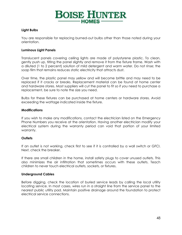# **BOISE HUNTER** -HOMES-

#### **Light Bulbs**

You are responsible for replacing burned-out bulbs other than those noted during your orientation.

#### **Luminous Light Panels**

Translucent panels covering ceiling lights are made of polystyrene plastic. To clean, gently push up, tilting the panel slightly and remove it from the fixture frame. Wash with a diluted (1 to 2 percent) solution of mild detergent and warm water. Do not rinse; the soap film that remains reduces static electricity that attracts dust.

Over time, the plastic panel may yellow and will become brittle and may need to be replaced if it cracks or breaks. Replacement material can be found at home center and hardware stores. Most suppliers will cut the panel to fit so if you need to purchase a replacement, be sure to note the size you need.

Bulbs for these fixtures can be purchased at home centers or hardware stores. Avoid exceeding the wattage indicated inside the fixture.

#### **Modifications**

If you wish to make any modifications, contact the electrician listed on the Emergency Phone Numbers you receive at the orientation. Having another electrician modify your electrical system during the warranty period can void that portion of your limited warranty.

#### **Outlets**

If an outlet is not working, check first to see if it is controlled by a wall switch or GFCI. Next, check the breaker.

If there are small children in the home, install safety plugs to cover unused outlets. This also minimizes the air infiltration that sometimes occurs with these outlets. Teach children to never touch electrical outlets, sockets, or fixtures.

#### **Underground Cables**

Before digging, check the location of buried service leads by calling the local utility locating service. In most cases, wires run in a straight line from the service panel to the nearest public utility pad. Maintain positive drainage around the foundation to protect electrical service connections.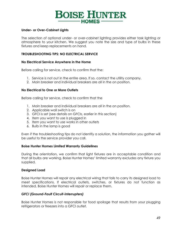

#### **Under- or Over-Cabinet Lights**

The selection of optional under- or over-cabinet lighting provides either task lighting or atmosphere to your kitchen. We suggest you note the size and type of bulbs in these fixtures and keep replacements on hand.

#### **TROUBLESHOOTING TIPS: NO ELECTRICAL SERVICE**

#### **No Electrical Service Anywhere in the Home**

Before calling for service, check to confirm that the:

- 1. Service is not out in the entire area. If so, contact the utility company.
- 2. Main breaker and individual breakers are all in the on position.

#### **No Electrical to One or More Outlets**

Before calling for service, check to confirm that the

- 1. Main breaker and individual breakers are all in the on position.
- 2. Applicable wall switch is on
- 3. GFCI is set (see details on GFCIs, earlier in this section)
- 4. Item you want to use is plugged in
- 5. Item you want to use works in other outlets
- 6. Bulb in the lamp is good

Even if the troubleshooting tips do not identify a solution, the information you gather will be useful to the service provider you call.

#### **Boise Hunter Homes Limited Warranty Guidelines**

During the orientation, we confirm that light fixtures are in acceptable condition and that all bulbs are working. Boise Hunter Homes' limited warranty excludes any fixture you supplied.

#### **Designed Load**

Boise Hunter Homes will repair any electrical wiring that fails to carry its designed load to meet specifications. If electrical outlets, switches, or fixtures do not function as intended, Boise Hunter Homes will repair or replace them.

#### *GFCI (Ground-Fault Circuit-Interrupters)*

Boise Hunter Homes is not responsible for food spoilage that results from your plugging refrigerators or freezers into a GFCI outlet.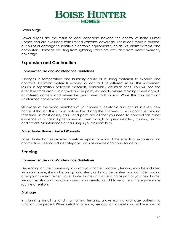

#### **Power Surge**

Power surges are the result of local conditions beyond the control of Boise Hunter Homes and are excluded from limited warranty coverage. These can result in burnedout bulbs or damage to sensitive electronic equipment such as TVs, alarm systems, and computers. Damage resulting from lightning strikes are excluded from limited warranty coverage.

# **Expansion and Contraction**

#### **Homeowner Use and Maintenance Guidelines**

Changes in temperature and humidity cause all building materials to expand and contract. Dissimilar materials expand or contract at different rates. This movement results in separation between materials, particularly dissimilar ones. You will see the effects in small cracks in drywall and in paint, especially where moldings meet drywall, at mitered corners, and where tile grout meets tub or sink. While this can alarm an uninformed homeowner, it is normal.

Shrinkage of the wood members of your home is inevitable and occurs in every new home. Although this is most noticeable during the first year, it may continue beyond that time. In most cases, caulk and paint are all that you need to conceal this minor evidence of a natural phenomenon. Even though properly installed, caulking shrinks and cracks. Maintenance of caulking is your responsibility.

#### **Boise Hunter Homes Limited Warranty**

Boise Hunter Homes provides one-time repairs to many of the effects of expansion and contraction. See individual categories such as drywall and caulk for details.

# **Fencing**

#### **Homeowner Use and Maintenance Guidelines**

Depending on the community in which your home is located, fencing may be included with your home, it may be an optional item, or it may be an item you consider adding after your move-in. When Boise Hunter Homes installs fencing as part of your new home, we confirm its good condition during your orientation. All types of fencing require some routine attention.

#### **Drainage**

In planning, installing, and maintaining fencing, allows existing drainage patterns to function unimpeded. When installing a fence, use caution in distributing soil removed to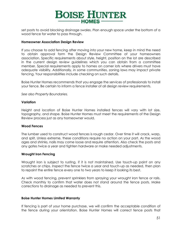

set posts to avoid blocking drainage swales. Plan enough space under the bottom of a wood fence for water to pass through.

#### **Homeowner Association Design Review**

If you choose to add fencing after moving into your new home, keep in mind the need to obtain approval form the Design Review Committee of your homeowners association. Specific requirements about style, height, position on the lot are described in the current design review guidelines which you can obtain from a committee member. Special requirements apply to homes on corner lots where drivers must have adequate visibility. Additionally, in some communities, zoning laws may impact private fencing. Your responsibilities include checking on such details.

Boise Hunter Homes recommends that you engage the services of professionals to install your fence. Be certain to inform a fence installer of all design review requirements.

*See also Property Boundaries.*

#### **Variation**

Height and location of Boise Hunter Homes installed fences will vary with lot size, topography, and shape. Boise Hunter Homes must meet the requirements of the Design Review process just as any homeowner would.

#### **Wood Fences**

The lumber used to construct wood fences is rough cedar. Over time it will crack, warp, and split. Unless extreme, these conditions require no action on your part. As the wood ages and shrinks, nails may come loose and require attention. Also check the posts and any gates twice a year and tighten hardware or make needed adjustments.

#### **Wrought Iron Fencing**

Wrought iron is subject to rusting, if it is not maintained. Use touch-up paint on any scratches or chips. Inspect the fence twice a year and touch-up as needed, then plan to repaint the entire fence every one to two years to keep it looking its best.

As with wood fencing, prevent sprinklers from spraying your wrought iron fence or rails. Check monthly to confirm that water does not stand around the fence posts. Make corrections to drainage as needed to prevent this.

#### **Boise Hunter Homes Limited Warranty**

If fencing is part of your home purchase, we will confirm the acceptable condition of the fence during your orientation. Boise Hunter Homes will correct fence posts that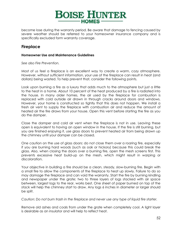

become lose during the warranty period. Be aware that damage to fencing caused by severe weather should be referred to your homeowner insurance company and is specifically excluded form warranty coverage.

# **Fireplace**

#### **Homeowner Use and Maintenance Guidelines**

*See also Fire Prevention.*

Most of us feel a fireplace is an excellent way to create a warm, cozy atmosphere. However, without sufficient information, your use of the fireplace can result in heat (and dollars) being wasted. To help prevent that, consider the following points.

Look upon burning a fire as a luxury that adds much to the atmosphere but just a little to the heat in a home. About 10 percent of the heat produced by a fire is radiated into the house. In many older homes, the air used by the fireplace for combustion is replaced with cold outside air drawn in through cracks around doors and windows. However, your home is constructed so tightly that this does not happen. We install a fresh air vent to supply the fireplace with combustion air and reduce the amount of heated air the fire draws from your house. Open this vent before starting the fire as you do the damper.

Close the damper and cold air vent when the fireplace is not in use. Leaving these open is equivalent to having an open window in the house. If the fire is still burning, but you are finished enjoying it, use glass doors to prevent heated air from being drawn up the chimney until your damper can be closed.

One caution on the use of glass doors: do not close them over a roaring fire, especially if you are burning hard woods (such as oak or hickory) because this could break the glass. Also, when closing the doors over a burning fire, open the mesh screens first. This prevents excessive heat build-up on the mesh, which might result in warping or discoloration.

Your objective in building a fire should be a clean, steady, slow-burning fire. Begin with a small fire to allow the components of the fireplace to heat up slowly. Failure to do so may damage the fireplace and can void the warranty. Start the fire by burning kindling and newspaper under the grate; two to three layers of logs stacked with air space between, largest logs to the rear, works best. One sheet of paper burned on top of the stack will help the chimney start to draw. Any logs 6 inches in diameter or larger should be split.

*Caution: Do not burn trash in the fireplace and never use any type of liquid fire starter.*

Remove old ashes and coals from under the grate when completely cool. A light layer is desirable as an insulator and will help to reflect heat.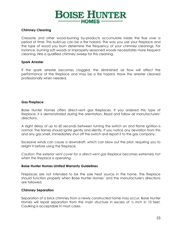

#### **Chimney Cleaning**

Creosote and other wood-burning by-products accumulate inside the flue over a period of time. This build-up can be a fire hazard. The way you use your fireplace and the type of wood you burn determine the frequency of your chimney cleanings. For instance, burning soft woods or improperly seasoned woods necessitates more frequent cleaning. Hire a qualified chimney sweep for this cleaning.

#### **Spark Arrester**

If the spark arrester becomes clogged, the diminished air flow will affect the performance of the fireplace and may be a fire hazard. Have the arrester cleaned professionally when needed.

#### **Gas Fireplace**

Boise Hunter Homes offers direct-vent gas fireplaces. If you ordered this type of fireplace, it is demonstrated during the orientation. Read and follow all manufacturers' directions.

A slight delay of up to 60 seconds between turning the switch on and flame ignition is normal. The flames should ignite gently and silently. If you notice any deviation from this and any gas smell, immediately shut off the switch and report it to the gas company.

Excessive winds can cause a downdraft, which can blow out the pilot, requiring you to relight it before using the fireplace.

*Caution: The exterior vent cover for a direct-vent gas fireplace becomes extremely hot when the fireplace is operating.*

#### **Boise Hunter Homes Limited Warranty Guidelines**

Fireplaces are not intended to be the sole heat source in the home. The fireplace should function properly when Boise Hunter Homes' and the manufacturer's directions are followed.

#### **Chimney Separation**

Separation of a brick chimney from a newly constructed home may occur. Boise Hunter Homes will repair separation from the main structure in excess of  $\frac{1}{2}$  inch in 10 feet. Caulking is acceptable in most cases.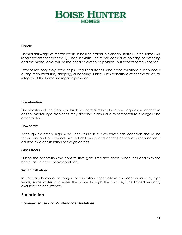# **BOISE HUNTER**  $-HOMES -$

#### **Cracks**

Normal shrinkage of mortar results in hairline cracks in masonry. Boise Hunter Homes will repair cracks that exceed 1/8 inch in width. The repair consists of pointing or patching and the mortar color will be matched as closely as possible, but expect some variation.

Exterior masonry may have chips, irregular surfaces, and color variations, which occur during manufacturing, shipping, or handling. Unless such conditions affect the structural integrity of the home, no repair is provided.

#### **Discoloration**

Discoloration of the firebox or brick is a normal result of use and requires no corrective action. Mortar-style fireplaces may develop cracks due to temperature changes and other factors.

#### **Downdraft**

Although extremely high winds can result in a downdraft, this condition should be temporary and occasional. We will determine and correct continuous malfunction if caused by a construction or design defect.

#### *Glass Doors*

During the orientation we confirm that glass fireplace doors, when included with the home, are in acceptable condition.

#### **Water Infiltration**

In unusually heavy or prolonged precipitation, especially when accompanied by high winds, some water can enter the home through the chimney. The limited warranty excludes this occurrence.

# **Foundation**

#### **Homeowner Use and Maintenance Guidelines**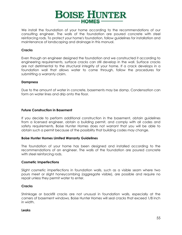

We install the foundation of your home according to the recommendations of our consulting engineer. The walls of the foundation are poured concrete with steel reinforcing rods. To protect your home's foundation, follow guidelines for installation and maintenance of landscaping and drainage in this manual.

#### **Cracks**

Even though an engineer designed the foundation and we constructed it according to engineering requirements, surface cracks can still develop in the wall. Surface cracks are not detrimental to the structural integrity of your home. If a crack develops in a foundation wall that allows water to come through, follow the procedures for submitting a warranty claim.

#### **Dampness**

Due to the amount of water in concrete, basements may be damp. Condensation can form on water lines and drip onto the floor.

#### **Future Construction in Basement**

If you decide to perform additional construction in the basement, obtain guidelines from a licensed engineer, obtain a building permit, and comply with all codes and safety requirements. Boise Hunter Homes does not warrant that you will be able to obtain such a permit because of the possibility that building codes may change.

#### **Boise Hunter Homes Limited Warranty Guidelines**

The foundation of your home has been designed and installed according to the recommendations of an engineer. The walls of the foundation are poured concrete with steel reinforcing rods.

#### **Cosmetic Imperfections**

Slight cosmetic imperfections in foundation walls, such as a visible seam where two pours meet or slight honeycombing (aggregate visible), are possible and require no repair unless they permit water to enter.

#### **Cracks**

Shrinkage or backfill cracks are not unusual in foundation walls, especially at the corners of basement windows. Boise Hunter Homes will seal cracks that exceed 1/8 inch in width.

#### **Leaks**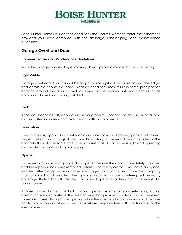

Boise Hunter Homes will correct conditions that permit water to enter the basement, provided you have complied with the drainage, landscaping, and maintenance guidelines.

# **Garage Overhead Door**

#### **Homeowner Use and Maintenance Guidelines**

Since the garage door is a large, moving object, periodic maintenance is necessary.

#### **Light Visible**

Garage overhead doors cannot be airtight. Some light will be visible around the edges and across the top of the door. Weather conditions may result in some precipitation entering around the door as well as some dust especially until most homes in the community have landscaping installed.

#### **Lock**

If the lock becomes stiff, apply a silicone or graphite lubricant. Do not use oil on a lock, as it will stiffen in winter and make the lock difficult to operate.

#### **Lubrication**

Every 6 months, apply a lubricant such as silicone spray to all moving parts: track, rollers, hinges, pulleys, and springs. Avoid over lubricating to prevent drips on vehicles or the concrete floor. At the same time, check to see that all hardware is tight and operating as intended without binding or scraping.

#### **Opener**

To prevent damage to a garage door opener, be sure the door is completely unlocked and the rope-pull has been removed before using the operator. If you have an opener installed after closing on your home, we suggest that you order it from the company that provided and installed the garage door to assure uninterrupted warranty coverage. Be familiar with the steps for manual operation of the door in the event of a power failure.

If Boise Hunter Homes installed a door opener as one of your selections, during orientation we demonstrate the electric eye that provides a safety stop in the event someone crosses through the opening while the overhead door is in motion. Use care not to place tools or other stored items where they interfere with the function of the electric eye.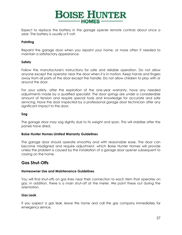

Expect to replace the battery in the garage opener remote controls about once a year. The battery is usually a 9 volt.

#### **Painting**

Repaint the garage door when you repaint your home, or more often if needed to maintain a satisfactory appearance.

#### **Safety**

Follow the manufacturer's instructions for safe and reliable operation. Do not allow anyone except the operator near the door when it is in motion. Keep hands and fingers away from all parts of the door except the handle. Do not allow children to play with or around the door.

For your safety, after the expiration of the one-year warranty, have any needed adjustments made by a qualified specialist. The door springs are under a considerable amount of tension and require special tools and knowledge for accurate and safe servicing. Have the door inspected by a professional garage door technician after any significant impact to the door.

#### **Sag**

The garage door may sag slightly due to its weight and span. This will stabilize after the panels have dried.

#### **Boise Hunter Homes Limited Warranty Guidelines**

The garage door should operate smoothly and with reasonable ease. The door can become misaligned and require adjustment, which Boise Hunter Homes will provide unless the problem is caused by the installation of a garage door opener subsequent to closing on the home.

# **Gas Shut-Offs**

#### **Homeowner Use and Maintenance Guidelines**

You will find shut-offs on gas lines near their connection to each item that operates on gas. In addition, there is a main shut-off at the meter. We point these out during the orientation.

#### **Gas Leak**

If you suspect a gas leak, leave the home and call the gas company immediately for emergency service.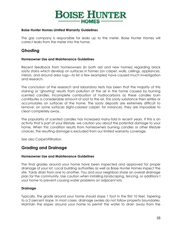

#### **Boise Hunter Homes Limited Warranty Guidelines**

The gas company is responsible for leaks up to the meter. Boise Hunter Homes will correct leaks from the meter into the home.

# **Ghosting**

#### **Homeowner Use and Maintenance Guidelines**

Recent feedback from homeowners (in both old and new homes) regarding black sooty stains which develop on surfaces in homes (on carpet, walls, ceilings, appliances, mirrors, and around area rugs—to list a few examples) have caused much investigation and research.

The conclusion of the research and laboratory tests has been that the majority of this staining or "ghosting" results from pollution of the air in the home caused by burning scented candles. Incomplete combustion of hydrocarbons as these candles burn contributes a considerable amount of soot to the air. This sooty substance then settles or accumulates on surfaces of the home. The sooty deposits are extremely difficult to remove; on some surfaces (light-colored carpet, for instance), they are impossible to clean completely away.

The popularity of scented candles has increased many-fold in recent years. If this is an activity that is part of your lifestyle, we caution you about the potential damage to your home. When this condition results from homeowners burning candles or other lifestyle choices, the resulting damage is excluded from our limited warranty coverage.

*See also Carpet/Filtration.*

# **Grading and Drainage**

#### **Homeowner Use and Maintenance Guidelines**

The final grades around your home have been inspected and approved for proper drainage of your lot. Local building authorities as well as Boise Hunter Homes inspect the site. Yards drain from one to another. You and your neighbors share an overall drainage plan for the community. Use caution when installing landscaping, fencing, or additions t your home to prevent causing water problems on adjacent lots.

#### **Drainage**

Typically, the grade around your home should slope 1 foot in the first 10 feet, tapering to a 2 percent slope. In most cases, drainage swales do not follow property boundaries. Maintain the slopes around your home to permit the water to drain away from the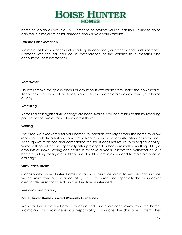

home as rapidly as possible. This is essential to protect your foundation. Failure to do so can result in major structural damage and will void your warranty.

#### **Exterior Finish Materials**

Maintain soil levels 6 inches below siding, stucco, brick, or other exterior finish materials. Contact with the soil can cause deterioration of the exterior finish material and encourages pest infestations.

#### **Roof Water**

Do not remove the splash blocks or downspout extensions from under the downspouts. Keep these in place at all times, sloped so the water drains away from your home quickly.

#### **Rototilling**

Rototilling can significantly change drainage swales. You can minimize this by rototilling parallel to the swales rather than across them.

#### **Settling**

The area we excavated for your home's foundation was larger than the home to allow room to work. In addition, some trenching is necessary for installation of utility lines. Although we replaced and compacted the soil, it does not return to its original density. Some settling will occur, especially after prolonged or heavy rainfall or melting of large amounts of snow. Settling can continue for several years. Inspect the perimeter of your home regularly for signs of settling and fill settled areas as needed to maintain positive drainage.

#### **Subsurface Drains**

Occasionally Boise Hunter Homes installs a subsurface drain to ensure that surface water drains from a yard adequately. Keep this area and especially the drain cover clear of debris so that the drain can function as intended.

*See also Landscaping.*

#### **Boise Hunter Homes Limited Warranty Guidelines**

We established the final grade to ensure adequate drainage away from the home. Maintaining this drainage is your responsibility. If you alter the drainage pattern after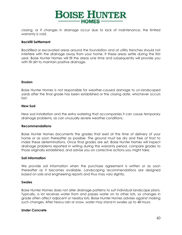

closing, or if changes in drainage occur due to lack of maintenance, the limited warranty is void.

#### **Backfill Settlement**

Backfilled or excavated areas around the foundation and at utility trenches should not interfere with the drainage away from your home. If these areas settle during the first year, Boise Hunter Homes will fill the areas one time and subsequently will provide you with fill dirt to maintain positive drainage.

#### **Erosion**

Boise Hunter Homes is not responsible for weather-caused damage to un-landscaped yards after the final grade has been established or the closing date, whichever occurs last.

#### **New Sod**

New sod installation and the extra watering that accompanies it can cause temporary drainage problems, as can unusually severe weather conditions.

#### **Recommendations**

Boise Hunter Homes documents the grades that exist at the time of delivery of your home or as soon thereafter as possible. The ground must be dry and free of frost to make these determinations. Once final grades are set, Boise Hunter Homes will inspect drainage problems reported in writing during the warranty period, compare grades to those originally established, and advise you on corrective actions you might take.

#### **Soil Information**

We provide soil information when the purchase agreement is written or as soon thereafter as it becomes available. Landscaping recommendations are designed based on soils and engineering reports and thus may vary slightly.

#### **Swales**

Boise Hunter Homes does not alter drainage patterns to suit individual landscape plans. Typically, a lot receives water from and passes water on to other lots, so changes in grade often affect adjacent or nearby lots. Boise Hunter Homes advises against making such changes. After heavy rain or snow, water may stand in swales up to 48 hours.

#### **Under Concrete**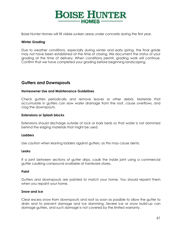

Boise Hunter Homes will fill visible sunken areas under concrete during the first year.

#### **Winter Grading**

Due to weather conditions, especially during winter and early spring, the final grade may not have been established at the time of closing. We document the status of your grading at the time of delivery. When conditions permit, grading work will continue. Confirm that we have completed your grading before beginning landscaping.

# **Gutters and Downspouts**

#### **Homeowner Use and Maintenance Guidelines**

Check gutters periodically and remove leaves or other debris. Materials that accumulate in gutters can slow water drainage from the roof, cause overflows, and clog the downspouts.

#### **Extensions or Splash blocks**

Extensions should discharge outside of rock or bark beds so that water is not dammed behind the edging materials that might be used.

#### **Ladders**

Use caution when leaning ladders against gutters, as this may cause dents.

#### **Leaks**

If a joint between sections of gutter drips, caulk the inside joint using a commercial gutter caulking compound available at hardware stores.

#### **Paint**

Gutters and downspouts are painted to match your home. You should repaint them when you repaint your home.

#### **Snow and Ice**

Clear excess snow from downspouts and roof as soon as possible to allow the gutter to drain and to prevent damage and ice damming. Severe ice or snow build-up can damage gutters, and such damage is not covered by the limited warranty.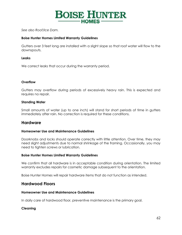

*See also Roof/Ice Dam.*

#### **Boise Hunter Homes Limited Warranty Guidelines**

Gutters over 3 feet long are installed with a slight slope so that roof water will flow to the downspouts.

#### **Leaks**

We correct leaks that occur during the warranty period.

#### **Overflow**

Gutters may overflow during periods of excessively heavy rain. This is expected and requires no repair.

#### **Standing Water**

Small amounts of water (up to one inch) will stand for short periods of time in gutters immediately after rain. No correction is required for these conditions.

# **Hardware**

#### **Homeowner Use and Maintenance Guidelines**

Doorknobs and locks should operate correctly with little attention. Over time, they may need slight adjustments due to normal shrinkage of the framing. Occasionally, you may need to tighten screws or lubrication.

#### **Boise Hunter Homes Limited Warranty Guidelines**

We confirm that all hardware is in acceptable condition during orientation. The limited warranty excludes repairs for cosmetic damage subsequent to the orientation.

Boise Hunter Homes will repair hardware items that do not function as intended.

# **Hardwood Floors**

#### **Homeowner Use and Maintenance Guidelines**

In daily care of hardwood floor, preventive maintenance is the primary goal.

#### **Cleaning**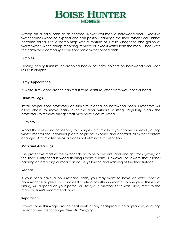

Sweep on a daily basis or as needed. Never wet-mop a hardwood floor. Excessive water causes wood to expand and can possibly damage the floor. When floor finishes become soiled, use a damp-mop with a mixture of 1 cup vinegar to one gallon of warm water. When damp-mopping, remove all excess water from the mop. Check with the hardwood company if your floor has a water-based finish.

#### **Dimples**

Placing heavy furniture or dropping heavy or sharp objects on hardwood floors can result in dimples.

#### **Filmy Appearance**

A white, filmy appearance can result from moisture, often from wet shoes or boots.

#### **Furniture Legs**

Install proper floor protectors on furniture placed on hardwood floors. Protectors will allow chairs to move easily over the floor without scuffing. Regularly clean the protectors to remove any grit that may have accumulated.

#### **Humidity**

Wood floors respond noticeably to changes in humidity in your home. Especially during winter months the individual planks or pieces expand and contract as water content changes. A humidifier helps but does not eliminate this reaction.

#### **Mats and Area Rugs**

Use protective mats at the exterior doors to help prevent sand and grit from getting on the floor. Gritty sand is wood flooring's worst enemy. However, be aware that rubber backing on area rugs or mats can cause yellowing and warping of the floor surface.

#### **Recoat**

If your floors have a polyurethane finish, you may want to have an extra coat of polyurethane applied by a qualified contractor within six months to one year. The exact timing will depend on your particular lifestyle. If another finish was used, refer to the manufacturer's recommendations.

#### **Separation**

Expect some shrinkage around heat vents or any heat-producing appliances, or during seasonal weather changes. *See also Warping.*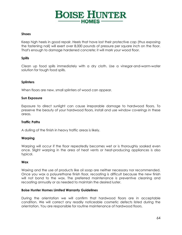# **BOISE HUNTER HOMES-**

#### **Shoes**

Keep high heels in good repair. Heels that have lost their protective cap (thus exposing the fastening nail) will exert over 8,000 pounds of pressure per square inch on the floor. That's enough to damage hardened concrete; it will mark your wood floor.

#### **Spills**

Clean up food spills immediately with a dry cloth. Use a vinegar-and-warm-water solution for tough food spills.

#### **Splinters**

When floors are new, small splinters of wood can appear.

#### **Sun Exposure**

Exposure to direct sunlight can cause irreparable damage to hardwood floors. To preserve the beauty of your hardwood floors, install and use window coverings in these areas.

#### **Traffic Paths**

A dulling of the finish in heavy traffic areas is likely.

#### **Warping**

Warping will occur if the floor repeatedly becomes wet or is thoroughly soaked even once. Slight warping in the area of heat vents or heat-producing appliances is also typical.

#### **Wax**

Waxing and the use of products like oil soap are neither necessary nor recommended. Once you wax a polyurethane finish floor, recoating is difficult because the new finish will not bond to the wax. The preferred maintenance is preventive cleaning and recoating annually or as needed to maintain the desired luster.

#### **Boise Hunter Homes Limited Warranty Guidelines**

During the orientation we will confirm that hardwood floors are in acceptable condition. We will correct any readily noticeable cosmetic defects listed during the orientation. You are responsible for routine maintenance of hardwood floors.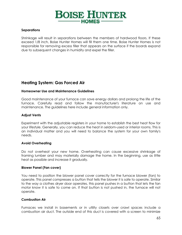

#### **Separations**

Shrinkage will result in separations between the members of hardwood floors. If these exceed 1/8 inch, Boise Hunter Homes will fill them one time. Boise Hunter Homes is not responsible for removing excess filler that appears on the surface if the boards expand due to subsequent changes in humidity and expel the filler.

# **Heating System: Gas Forced Air**

#### **Homeowner Use and Maintenance Guidelines**

Good maintenance of your furnace can save energy dollars and prolong the life of the furnace. Carefully read and follow the manufacturer's literature on use and maintenance. The guidelines here include general information only.

#### **Adjust Vents**

Experiment with the adjustable registers in your home to establish the best heat flow for your lifestyle. Generally, you can reduce the heat in seldom-used or interior rooms. This is an individual matter and you will need to balance the system for your own family's needs.

#### **Avoid Overheating**

Do not overheat your new home. Overheating can cause excessive shrinkage of framing lumber and may materially damage the home. In the beginning, use as little heat as possible and increase it gradually.

#### **Blower Panel (Fan cover)**

You need to position the blower panel cover correctly for the furnace blower (fan) to operate. This panel compresses a button that tells the blower it is safe to operate. Similar to the way a clothes dryer door operates, this panel pushes in a button that lets the fan motor know it is safe to come on. If that button is not pushed in, the furnace will not operate.

#### **Combustion Air**

Furnaces we install in basements or in utility closets over crawl spaces include a combustion air duct. The outside end of this duct is covered with a screen to minimize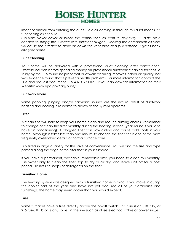

insect or animal from entering the duct. Cold air coming in through this duct means it is functioning as it should.

*Caution: Never cover or block the combustion air vent in any way. Outside air is needed to supply the furnace with sufficient oxygen. Blocking the combustion air vent will cause the furnace to draw air down the vent pipe and pull poisonous gases back into your home.*

#### **Duct Cleaning**

Your home will be delivered with a professional duct cleaning after construction. Exercise caution before spending money on professional ductwork cleaning services. A study by the EPA found no proof that ductwork cleaning improves indoor air quality, nor was evidence found that it prevents health problems. For more information contact the EPA and request document EPA-402-K-97-002. Or you can view this information on their Website: www.epa.gov/iaq/pubs/.

#### **Ductwork Noise**

Some popping, pinging and/or harmonic sounds are the natural result of ductwork heating and cooling in response to airflow as the system operates.

#### **Filter**

A clean filter will help to keep your home clean and reduce dusting chores. Remember to change or clean the filter monthly during the heating season (year-round if you also have air conditioning). A clogged filter can slow airflow and cause cold spots in your home. Although it takes less than one minute to change the filter, this is one of the most frequently overlooked details of normal furnace care.

Buy filters in large quantity for the sake of convenience. You will find the size and type printed along the edge of the filter that in your furnace.

If you have a permanent, washable, removable filter, you need to clean this monthly. Use water only to clean the filter, tap to dry or air dry, and leave unit off for a brief period. Do not use soaps or detergents on the filter.

#### **Furnished Home**

The heating system was designed with a furnished home in mind. If you move in during the cooler part of the year and have not yet acquired all of your draperies and furnishings, the home may seem cooler than you would expect.

#### **Fuse**

Some furnaces have a fuse directly above the on-off switch. This fuse is an S10, S12, or S15 fuse. It absorbs any spikes in the line such as close electrical strikes or power surges.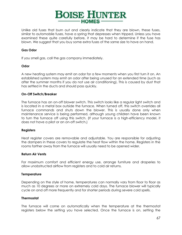

Unlike old fuses that burn out and clearly indicate that they are blown, these fuses, similar to automobile fuses, have a spring that depresses when tripped. Unless you have examined these quite carefully before, it may be hard to determine if the fuse has blown. We suggest that you buy some extra fuses of the same size to have on hand.

#### **Gas Odor**

If you smell gas, call the gas company immediately.

#### **Odor**

A new heating system may emit an odor for a few moments when you first turn it on. An established system may emit an odor after being unused for an extended time (such as after the summer months if you do not use air conditioning). This is caused by dust that has settled in the ducts and should pass quickly.

#### **On-Off Switch/Breaker**

The furnace has an on-off blower switch. This switch looks like a regular light switch and is located in a metal box outside the furnace. When turned off, this switch overrides all furnace commands and shuts down the blower. This is usually done only when maintenance service is being performed, although young children have been known to turn the furnace off using this switch. (If your furnace is a high-efficiency model, it does not have a pilot or an on-off switch.)

#### **Registers**

Heat register covers are removable and adjustable. You are responsible for adjusting the dampers in these covers to regulate the heat flow within the home. Registers in the rooms farther away from the furnace will usually need to be opened wider.

#### **Return Air Vents**

For maximum comfort and efficient energy use, arrange furniture and draperies to allow unobstructed airflow from registers and to cold air returns.

#### **Temperature**

Depending on the style of home, temperatures can normally vary from floor to floor as much as 10 degrees or more on extremely cold days. The furnace blower will typically cycle on and off more frequently and for shorter periods during severe cold spells.

#### **Thermostat**

The furnace will come on automatically when the temperature at the thermostat registers below the setting you have selected. Once the furnace is on, setting the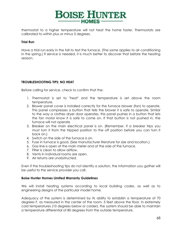

thermostat to a higher temperature will not heat the home faster. Thermostats are calibrated to within plus or minus 5 degrees.

#### **Trial Run**

Have a trial run early in the fall to test the furnace. (The same applies to air conditioning in the spring.) If service is needed, it is much better to discover that before the heating season.

#### **TROUBLESHOOTING TIPS: NO HEAT**

Before calling for service, check to confirm that the:

- 1. Thermostat is set to "heat" and the temperature is set above the room temperature.
- 2. Blower panel cover is installed correctly for the furnace blower (fan) to operate. This panel compresses a button that tells the blower it is safe to operate. Similar to the way a clothes dryer door operates, this panel pushes in a button that lets the fan motor know it is safe to come on. If that button is not pushed in, the furnace will not operate
- 3. Breaker on the main electrical panel is on. (Remember, if a breaker trips you must turn it from the tripped position to the off position before you can turn it back on.)
- 4. Switch on the side of the furnace is on.
- 5. Fuse in furnace is good. (See manufacturer literature for size and location.)
- 6. Gas line is open at the main meter and at the side of the furnace.
- 7. Filter is clean to allow airflow.
- 8. Vents in individual rooms are open.
- 9. Air returns are unobstructed.

Even if the troubleshooting tips do not identify a solution, the information you gather will be useful to the service provider you call.

#### **Boise Hunter Homes Limited Warranty Guidelines**

We will install heating systems according to local building codes, as well as to engineering designs of the particular model home.

Adequacy of the system is determined by its ability to establish a temperature of 70 degrees F, as measured in the center of the room, 5 feet above the floor. In extremely cold temperatures (10 degrees below or colder), the system should be able to maintain a temperature differential of 80 degrees from the outside temperature.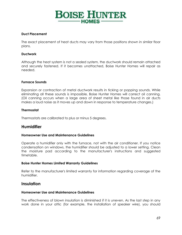# **BOISE HUNTER HOMES-**

#### **Duct Placement**

The exact placement of heat ducts may vary from those positions shown in similar floor plans.

#### **Ductwork**

Although the heat system is not a sealed system, the ductwork should remain attached and securely fastened. If it becomes unattached, Boise Hunter Homes will repair as needed.

#### **Furnace Sounds**

Expansion or contraction of metal ductwork results in ticking or popping sounds. While eliminating all these sounds is impossible, Boise Hunter Homes will correct oil canning. (Oil canning occurs when a large area of sheet metal like those found in air ducts makes a loud noise as it moves up and down in response to temperature changes.)

#### **Thermostat**

Thermostats are calibrated to plus or minus 5 degrees.

# **Humidifier**

#### **Homeowner Use and Maintenance Guidelines**

Operate a humidifier only with the furnace, not with the air conditioner. If you notice condensation on windows, the humidifier should be adjusted to a lower setting. Clean the moisture pad according to the manufacturer's instructions and suggested timetable.

#### **Boise Hunter Homes Limited Warranty Guidelines**

Refer to the manufacturer's limited warranty for information regarding coverage of the humidifier.

# **Insulation**

#### **Homeowner Use and Maintenance Guidelines**

The effectiveness of blown insulation is diminished if it is uneven. As the last step in any work done in your attic (for example, the installation of speaker wire), you should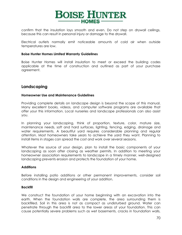

confirm that the insulation lays smooth and even. Do not step on drywall ceilings, because this can result in personal injury or damage to the drywall.

Electrical outlets normally emit noticeable amounts of cold air when outside temperatures are low.

#### **Boise Hunter Homes Limited Warranty Guidelines**

Boise Hunter Homes will install insulation to meet or exceed the building codes applicable at the time of construction and outlined as part of your purchase agreement.

# **Landscaping**

#### **Homeowner Use and Maintenance Guidelines**

Providing complete details on landscape design is beyond the scope of this manual. Many excellent books, videos, and computer software programs are available that offer your this information. Local nurseries and landscape professionals can also assist you.

In planning your landscaping, think of proportion, texture, color, mature size, maintenance needs, soft and hard surfaces, lighting, fencing, edging, drainage and water requirements. A beautiful yard requires considerable planning and regular attention. Most homeowners take years to achieve the yard they want. Planning to install items in stages can spread the cost and work over several seasons.

Whatever the source of your design, plan to install the basic components of your landscaping as soon after closing as weather permits. In addition to meeting your homeowner association requirements to landscape in a timely manner, well-designed landscaping prevents erosion and protects the foundation of your home.

#### **Additions**

Before installing patio additions or other permanent improvements, consider soil conditions in the design and engineering of your addition.

#### **Backfill**

We construct the foundation of your home beginning with an excavation into the earth. When the foundation walls are complete, the area surrounding them is backfilled. Soil in this area is not as compact as undisturbed ground. Water can penetrate through the backfill area to the lower areas of your foundation. This can cause potentially severe problems such as wet basements, cracks in foundation walls,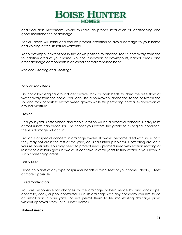

and floor slab movement. Avoid this through proper installation of landscaping and good maintenance of drainage.

Backfill areas will settle and require prompt attention to avoid damage to your home and voiding of the structural warranty.

Keep downspout extensions in the down position to channel roof runoff away from the foundation area of your home. Routine inspection of downspouts, backfill areas, and other drainage components is an excellent maintenance habit.

*See also Grading and Drainage.*

#### **Bark or Rock Beds**

Do not allow edging around decorative rock or bark beds to dam the free flow of water away from the home. You can use a nonwoven landscape fabric between the soil and rock or bark to restrict weed growth while still permitting normal evaporation of ground moisture.

#### **Erosion**

Until your yard is established and stable, erosion will be a potential concern. Heavy rains or roof runoff can erode soil. The sooner you restore the grade to its original condition, the less damage will occur.

Erosion is of special concern in drainage swales. If swales become filled with soil runoff, they may not drain the rest of the yard, causing further problems. Correcting erosion is your responsibility. You may need to protect newly planted seed with erosion matting or reseed to establish grass in swales. It can take several years to fully establish your lawn in such challenging areas.

#### **First 5 Feet**

Place no plants of any type or sprinkler heads within 2 feet of your home. Ideally, 5 feet or more if possible.

#### **Hired Contractors**

You are responsible for changes to the drainage pattern made by any landscape, concrete, deck, or pool contractor. Discuss drainage with any company you hire to do an installation in your yard. Do not permit them to tie into existing drainage pipes without approval from Boise Hunter Homes.

#### **Natural Areas**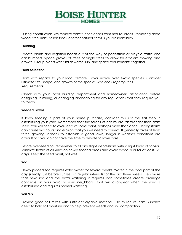# **BOISE HUNTER**

During construction, we remove construction debris from natural areas. Removing dead wood, tree limbs, fallen trees, or other natural items is your responsibility.

#### **Planning**

Locate plants and irrigation heads out of the way of pedestrian or bicycle traffic and car bumpers. Space groves of trees or single trees to allow for efficient mowing and growth. Group plants with similar water, sun, and space requirements together.

#### **Plant Selection**

Plant with regard to your local climate. Favor native over exotic species. Consider ultimate size, shape, and growth of the species. *See also Property Lines.* **Requirements**

Check with your local building department and homeowners association before designing, installing, or changing landscaping for any regulations that they require you to follow.

#### **Seeded Lawns**

If lawn seeding is part of your home purchase, consider this just the first step in establishing your yard. Remember that the forces of nature are far stronger than grass seed. You will need to over-seed at some point, perhaps more than once. Heavy storms can cause washouts and erosion that you will need to correct. It generally takes at least three growing seasons to establish a good lawn, longer if weather conditions are difficult or if you do not have the time to devote to lawn care.

Before over-seeding, remember to fill any slight depressions with a light layer of topsoil. Minimize traffic of all kinds on newly seeded areas and avoid weed killer for at least 120 days. Keep the seed moist, not wet.

#### **Sod**

Newly placed sod requires extra water for several weeks. Water in the cool part of the day (ideally just before sunrise) at regular intervals for the first three weeks. Be aware that new sod and the extra watering it requires can sometimes create drainage concerns (in your yard or your neighbor's) that will disappear when the yard is established and requires normal watering.

#### **Soil Mix**

Provide good soil mixes with sufficient organic material. Use mulch at least 3 inches deep to hold soil moisture and to help prevent weeds and soil compaction.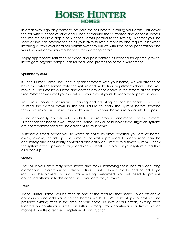## **BOISE HUNTER** -HOMES-

In areas with high clay content, prepare the soil before installing your grass. First cover the soil with 2 inches of sand and 1 inch of manure that is treated and odorless. Rototill this into the soil to a depth of 6 inches (rototill parallel to the swales). Whether you use seed or sod, this preparation helps your lawn to retain moisture and require less water. Installing a lawn over hard soil permits water to run off with little or no penetration and your lawn will derive minimal benefit from watering or rain.

Apply appropriate fertilizer and weed and pest controls as needed for optimal growth. Investigate organic compounds for additional protection of the environment.

#### **Sprinkler System**

If Boise Hunter Homes included a sprinkler system with your home, we will arrange to have the installer demonstrate the system and make final adjustments shortly after you move in. The installer will note and correct any deficiencies in the system at the same time. Whether we install your sprinkler or you install it yourself, keep these points in mind.

You are responsible for routine cleaning and adjusting of sprinkler heads as well as shutting the system down in the fall. Failure to drain the system before freezing temperatures occur can result in broken lines, which will be your responsibility to repair.

Conduct weekly operational checks to ensure proper performance of the system. Direct sprinkler heads away from the home. Trickler or bubbler type irrigation systems are not recommended for use adjacent to your home.

Automatic timers permit you to water at optimum times whether you are at home, away, awake, or asleep. The amount of water provided to each zone can be accurately and consistently controlled and easily adjusted with a timed system. Check the system after a power outage and keep a battery in place if your system offers that as a backup.

#### **Stones**

The soil in your area may have stones and rocks. Removing these naturally occurring elements is a maintenance activity. If Boise Hunter Homes installs seed or sod, large rocks will be picked up and surface raking performed. You will need to provide continued attention to this condition as you care for your yard.

#### **Trees**

Boise Hunter Homes values trees as one of the features that make up an attractive community and add value to the homes we build. We take steps to protect and preserve existing trees in the area of your home. In spite of our efforts, existing trees located on construction sites can suffer damage from construction activities, which manifest months after the completion of construction.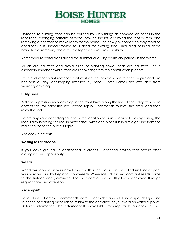

Damage to existing trees can be caused by such things as compaction of soil in the root zone, changing patterns of water flow on the lot, disturbing the root system, and removing other trees to make room for the home. The newly exposed tree may react to conditions it is unaccustomed to. Caring for existing trees, including pruning dead branches or removing these trees altogether is your responsibility.

Remember to water trees during the summer or during warm dry periods in the winter.

Mulch around trees and avoid tilling or planting flower beds around trees. This is especially important while trees are recovering from the construction process.

Trees and other plant materials that exist on the lot when construction begins and are not part of any landscaping installed by Boise Hunter Homes are excluded from warranty coverage.

#### **Utility Lines**

A slight depression may develop in the front lawn along the line of the utility trench. To correct this, roll back the sod, spread topsoil underneath to level the area, and then relay the sod.

Before any significant digging, check the location of buried service leads by calling the local utility locating service. In most cases, wires and pipes run in a straight line from the main service to the pubic supply.

*See also Easements.*

#### **Waiting to Landscape**

If you leave ground un-landscaped, it erodes. Correcting erosion that occurs after closing is your responsibility.

#### **Weeds**

Weed swill appear in your new lawn whether seed or sod is used. Left un-landscaped, your yard will quickly begin to show weeds. When soil is disturbed, dormant seeds come to the surface and germinate. The best control is a healthy lawn, achieved through regular care and attention.

#### **Xeriscape®**

Boise Hunter Homes recommends careful consideration of landscape design and selection of planting materials to minimize the demands of your yard on water supplies. Detailed information about Xeriscape® is available from reputable nurseries. This has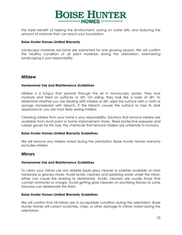

the triple benefit of helping the environment, saving on water bills, and reducing the amount of moisture that can reach your foundation.

#### **Boise Hunter Homes Limited Warranty**

Landscape materials we install are warranted for one growing season. We will confirm the healthy condition of all plant materials during the orientation. Maintaining landscaping is your responsibility.

### <span id="page-74-0"></span>**Mildew**

#### **Homeowner Use and Maintenance Guidelines**

Mildew is a fungus that spreads through the air in microscopic spores. They love moisture and feed on surfaces or dirt. On siding, they look like a layer of dirt. To determine whether you are dealing with mildew or dirt, wipe the surface with a cloth or sponge dampened with bleach. If the bleach causes the surface to lose its dark appearance, you are most likely seeing mildew.

Cleaning mildew from your home is your responsibility. Solutions that remove mildew are available from local paint or home improvement stores. Wear protective eyewear and rubber gloves for this task; the chemicals that remove mildew are unfriendly to humans.

#### **Boise Hunter Homes Limited Warranty Guidelines**

We will remove any mildew noted during the orientation. Boise Hunter Homes warranty excludes mildew.

#### <span id="page-74-1"></span>**Mirrors**

#### **Homeowner Use and Maintenance Guidelines**

To clean your mirrors use any reliable liquid glass cleaner or polisher available at most hardware or grocery stores. Avoid acidic cleaners and splashing water under the mirror; either can cause the silvering to deteriorate. Acidic cleaners are usually those that contain ammonia or vinegar. Avoid getting glass cleaners on plumbing fixtures as some formulas can deteriorate the finish.

#### **Boise Hunter Homes Limited Warranty Guidelines**

We will confirm that all mirrors are in acceptable condition during the orientation. Boise Hunter Homes will correct scratches, chips, or other damage to mirrors noted during the orientation.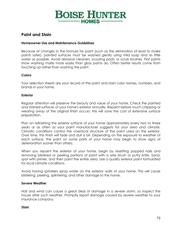## **BOISE HUNTER HOMES-**

## <span id="page-75-0"></span>**Paint and Stain**

#### **Homeowner Use and Maintenance Guidelines**

Because of changes in the formula for paint (such as the elimination of lead to make paints safer), painted surfaces must be washed gently using mild soap and as little water as possible. Avoid abrasive cleaners, scouring pads, or scrub brushes. Flat paints show washing marks more easily than gloss paints do. Often better results come from touching up rather than washing the paint.

#### **Colors**

Your selection sheets are your record of the paint and stain color names, numbers, and brands in your home.

#### **Exterior**

Regular attention will preserve the beauty and value of your home. Check the painted and stained surfaces of your home's exterior annually. Repaint before much chipping or wearing away of the original finish occurs; this will save the cost of extensive surface preparation.

Plan on refinishing the exterior surface of your home approximately every two to three years or as often as your paint manufacturer suggests for your area and climate. Climatic conditions control the chemical structure of the paint used on the exterior. Over time, this finish will fade and dull a bit. Depending on the exposure to weather of each surface, the paint on some parts of your home may begin to show signs of deterioration sooner than others.

When you repaint the exterior of your home, begin by resetting popped nails and removing blistered or peeling portions of paint with a wire brush or putty knife. Sand, spot with primer, and then paint the entire area. Use a quality exterior paint formulated for local climate conditions.

Avoid having sprinklers spray water on the exterior walls of your home. This will cause blistering, peeling, splintering, and other damage to the home.

#### **Severe Weather**

Hail and wind can cause a great deal of damage in a severe storm, so inspect the house after such weather. Promptly report damage caused by severe weather to your insurance company.

#### **Stain**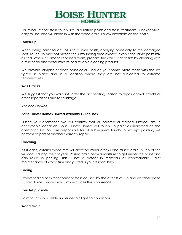

For minor interior stain touch-ups, a furniture-polish-and-stain treatment is inexpensive, easy to use, and will blend in with the wood grain. Follow directions on the bottle.

#### **Touch-Up**

When doing paint touch-ups, use a small brush, applying paint only to the damaged spot. Touch-up may not match the surrounding area exactly, even if the same paint mix is used. When it is time to repaint a room, prepare the wall surfaces first by cleaning with a mild soap and water mixture or a reliable cleaning product.

We provide samples of each paint color used on your home. Store these with the lids tightly in place and in a location where they are not subjected to extreme temperatures.

#### **Wall Cracks**

We suggest that you wait until after the first heating season to repair drywall cracks or other separations due to shrinkage.

*See also Drywall.*

#### **Boise Hunter Homes Limited Warranty Guidelines**

During your orientation we will confirm that all painted or stained surfaces are in acceptable condition. Boise Hunter Homes will touch up paint as indicated on the orientation list. You are responsible for all subsequent touch-up, except painting we perform as part of another warranty repair.

#### **Cracking**

As it ages, exterior wood trim will develop minor cracks and raised grain. Much of this will occur during the first year. Raised grain permits moisture to get under the paint and can result in peeling. This is not a defect in materials or workmanship. Paint maintenance of wood trim and gutters is your responsibility.

#### **Fading**

Expect fading of exterior paint or stain caused by the effects of sun and weather. Boise Hunter Homes' limited warranty excludes this occurrence.

#### **Touch-Up Visible**

Paint touch-up is visible under certain lighting conditions.

#### **Wood Grain**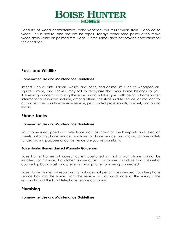

Because of wood characteristics, color variations will result when stain is applied to wood. This is natural and requires no repair. Today's water-base paints often make wood grain visible on painted trim. Boise Hunter Homes does not provide corrections for this condition.

## <span id="page-77-0"></span>**Pests and Wildlife**

#### **Homeowner Use and Maintenance Guidelines**

Insects such as ants, spiders, wasps, and bees, and animal life such as woodpeckers, squirrels, mice, and snakes, may fail to recognize that your home belongs to you. Addressing concerns involving these pests and wildlife goes with being a homeowner. Informational resources include, among others, the state wildlife service, animal control authorities, the county extension service, pest control professionals, Internet, and public library.

## <span id="page-77-1"></span>**Phone Jacks**

#### **Homeowner Use and Maintenance Guidelines**

Your home is equipped with telephone jacks as shown on the blueprints and selection sheets. Initiating phone service, additions to phone service, and moving phone outlets for decorating purposes or convenience are your responsibility.

#### **Boise Hunter Homes Limited Warranty Guidelines**

Boise Hunter Homes will correct outlets positioned so that a wall phone cannot be installed, for instance, if a kitchen phone outlet is positioned too close to a cabinet or countertop backsplash and prevents a wall phone from being connected.

Boise Hunter Homes will repair wiring that does not perform as intended from the phone service box into the home. From the service box outward, care of the wiring is the responsibility of the local telephone service company.

## <span id="page-77-2"></span>**Plumbing**

#### **Homeowner Use and Maintenance Guidelines**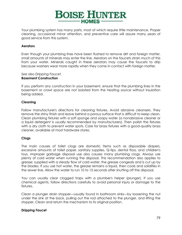

Your plumbing system has many parts, most of which require little maintenance. Proper cleaning, occasional minor attention, and preventive care will assure many years of good service from this system.

#### **Aerators**

Even though your plumbing lines have been flushed to remove dirt and foreign matter, small amounts of minerals may enter the line. Aerators on the faucets strain much of this from your water. Minerals caught in these aerators may cause the faucets to drip because washers wear more rapidly when they come in contact with foreign matter.

#### *See also Dripping Faucet.* **Basement Construction**

If you perform any construction in your basement, ensure that the plumbing lines in the basement or crawl space are not isolated from the heating source without insulation being added.

#### **Cleaning**

Follow manufacturer's directions for cleaning fixtures. Avoid abrasive cleansers. They remove the shiny finish and leave behind a porous surface that is difficult to keep clean. Clean plumbing fixtures with a soft sponge and soapy water (a nonabrasive cleaner or a liquid detergent is usually recommended by manufacturers). Then polish the fixtures with a dry cloth to prevent water spots. Care for brass fixtures with a good-quality brass cleaner, available at most hardware stores.

#### **Clogs**

The main causes of toilet clogs are domestic items such as disposable diapers, excessive amounts of toilet paper, sanitary supplies, Q-tips, dental floss, and children's toys. Improper garbage disposal use also causes many plumbing clogs. Always use plenty of cold water when running the disposal. This recommendation also applies to grease; supplied with a steady flow of cold water, the grease congeals and is cut up by the blades. If you use hot water, the grease remains a liquid, then cools and solidifies in the sewer line. Allow the water to run 10 to 15 seconds after shutting off the disposal.

You can usually clear clogged traps with a plumber's helper (plunger). If you use chemical agents, follow directions carefully to avoid personal injury or damage to the fixtures.

Clean a plunger drain stopper—usually found in bathroom sinks—by loosening the nut under the sink at the back, pulling out the rod attached to the plunger, and lifting the stopper. Clean and return the mechanism to its original position.

#### **Dripping Faucet**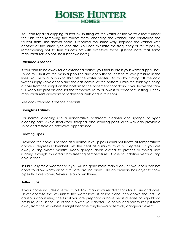

You can repair a dripping faucet by shutting off the water at the valve directly under the sink, then removing the faucet stem, changing the washer, and reinstalling the faucet stem. The shower head is repaired the same way. Replace the washer with another of the same type and size. You can minimize the frequency of this repair by remembering not to turn faucets off with excessive force. (Please note that some manufacturers do not use rubber washers.)

#### **Extended Absence**

If you plan to be away for an extended period, you should drain your water supply lines. To do this, shut off the main supply line and open the faucets to relieve pressure in the lines. You may also wish to shut off the water heater. Do this by turning off the cold water supply valve on top and the gas control at the bottom. Drain the tank by running a hose from the spigot on the bottom to the basement floor drain. If you leave the tank full, keep the pilot on and set the temperature to its lowest or "vacation" setting. Check manufacturer's directions for additional hints and instructions.

*See also Extended Absence checklist.*

#### **Fiberglass Fixtures**

For normal cleaning use a nonabrasive bathroom cleanser and sponge or nylon cleaning pad. Avoid steel wool, scrapers, and scouring pads. Auto wax can provide a shine and restore an attractive appearance.

#### **Freezing Pipes**

Provided the home is heated at a normal level, pipes should not freeze at temperatures above 0 degrees Fahrenheit. Set the heat at a minimum of 65 degrees F if you are away during winter months. Keep garage doors closed to protect plumbing lines running through this area from freezing temperatures. Close foundation vents during cold season.

In unusually frigid weather or if you will be gone more than a day or two, open cabinet doors to allow warm air to circulate around pipes. Use an ordinary hair dryer to thaw pipes that are frozen. Never use an open flame.

#### **Jetted Tubs**

If your home includes a jetted tub follow manufacturer directions for its use and care. Never operate the jets unless the water level is at least one inch above the jets. Be cautious about using the tub if you are pregnant or have heart disease or high blood pressure; discuss the use of the tub with your doctor. Tie or pin long hair to keep it from away from the jets where it might become tangled—a potentially dangerous event.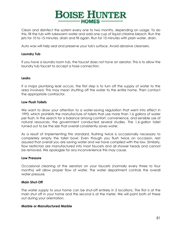

Clean and disinfect the system every one to two months, depending on usage. To do this, fill the tub with lukewarm water and add one cup of liquid chlorine bleach. Run the jets for 10 to 15 minutes, drain and fill again. Run for 10 minutes with plain water, drain.

Auto wax will help seal and preserve your tub's surface. Avoid abrasive cleansers.

#### **Laundry Tub**

If you have a laundry room tub, the faucet does not have an aerator. This is to allow the laundry tub faucet to accept a hose connection.

#### **Leaks**

If a major plumbing leak occurs, the first step is to turn off the supply of water to the area involved. This may mean shutting off the water to the entire home. Then contact the appropriate contractor.

#### **Low Flush Toilets**

We want to draw your attention to a water-saving regulation that went into effect in 1993, which prohibits the manufacture of toilets that use more than 1.6 gallons of water per flush. In the search for a balance among comfort, convenience, and sensible use of natural resources, the government conducted several studies. The 1.6-gallon toilet turned out to be the size that overall consistently saves water.

As a result of implementing this standard, flushing twice is occasionally necessary to completely empty the toilet bowl. Even though you flush twice on occasion, rest assured that overall you are saving water and we have complied with the law. Similarly, flow restrictors are manufactured into most faucets and all shower heads and cannot be removed. We apologize for any inconvenience this may cause.

#### **Low Pressure**

Occasional cleaning of the aerators on your faucets (normally every three to four months) will allow proper flow of water. The water department controls the overall water pressure.

#### **Main Shut-Off**

The water supply to your home can be shut-off entirely in 2 locations. The first is at the main shut off in your home and the second is at the meter. We will point both of these out during your orientation.

#### **Marble or Manufactured Marble**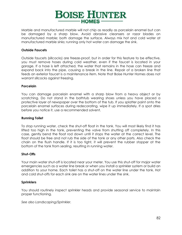

Marble and manufactured marble will not chip as readily as porcelain enamel but can be damaged by a sharp blow. Avoid abrasive cleansers or razor blades on manufactured marble; both damage the surface. Always mix hot and cold water at manufactured marble sinks; running only hot water can damage the sink.

#### **Outside Faucets**

Outside faucets (sillcocks) are freeze-proof, but in order for this feature to be effective, you must remove hoses during cold weather, even if the faucet is located in your garage. If a hose is left attached, the water that remains in the hose can freeze and expand back into the pipe, causing a break in the line. Repair of a broken line that feeds an exterior faucet is a maintenance item. Note that Boise Hunter Homes does not warrant sillcocks against freezing.

#### **Porcelain**

You can damage porcelain enamel with a sharp blow from a heavy object or by scratching. Do not stand in the bathtub wearing shoes unless you have placed a protective layer of newspaper over the bottom of the tub. If you splatter paint onto the porcelain enamel surfaces during redecorating, wipe it up immediately. If a spot dries before you notice it, use a recommended solvent.

#### **Running Toilet**

To stop running water, check the shut-off float in the tank. You will most likely find it has lifted too high in the tank, preventing the valve from shutting off completely. In this case, gently bend the float rod down until it stops the water at the correct level. The float should be free and not rub the side of the tank or any other parts. Also check the chain on the flush handle. If it is too tight, it will prevent the rubber stopper at the bottom of the tank from sealing, resulting in running water.

#### **Shut-Offs**

Your main water shut-off is located near your meter. You use this shut-off for major water emergencies such as a water line break or when you install a sprinkler system or build an addition to your home. Each toilet has a shut-off on the water line under the tank. Hot and cold shut-offs for each sink are on the water lines under the sink.

#### **Sprinklers**

You should routinely inspect sprinkler heads and provide seasonal service to maintain proper functioning.

*See also Landscaping/Sprinkler.*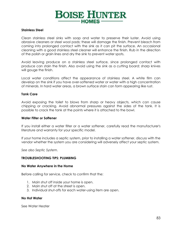

#### **Stainless Steel**

Clean stainless steel sinks with soap and water to preserve their luster. Avoid using abrasive cleaners or steel wool pads; these will damage the finish. Prevent bleach from coming into prolonged contact with the sink as it can pit the surface. An occasional cleaning with a good stainless steel cleaner will enhance the finish. Rub in the direction of the polish or grain lines and dry the sink to prevent water spots.

Avoid leaving produce on a stainless steel surface, since prolonged contact with produce can stain the finish. Also avoid using the sink as a cutting board; sharp knives will gouge the finish.

Local water conditions affect the appearance of stainless steel. A white film can develop on the sink if you have over-softened water or water with a high concentration of minerals. In hard water areas, a brown surface stain can form appearing like rust.

#### **Tank Care**

Avoid exposing the toilet to blows from sharp or heavy objects, which can cause chipping or cracking. Avoid abnormal pressures against the sides of the tank. It is possible to crack the tank at the points where it is attached to the bowl.

#### **Water Filter or Softener**

If you install either a water filter or a water softener, carefully read the manufacturer's literature and warranty for your specific model.

If your home includes a septic system, prior to installing a water softener, discuss with the vendor whether the system you are considering will adversely affect your septic system.

*See also Septic System.*

#### **TROUBLESHOOTING TIPS: PLUMBING**

#### **No Water Anywhere in the Home**

Before calling for service, check to confirm that the:

- 1. Main shut off inside your home is open.
- 2. Main shut off at the street is open.
- 3. Individual shut-offs for each water-using item are open.

#### **No Hot Water**

See Water Heater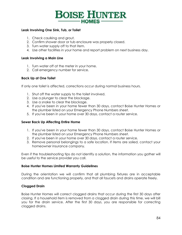

#### **Leak Involving One Sink, Tub, or Toilet**

- 1. Check caulking and grout.
- 2. Confirm shower door or tub enclosure was properly closed.
- 3. Turn water supply off to that item.
- 4. Use other facilities in your home and report problem on next business day.

#### **Leak Involving a Main Line**

- 1. Turn water off at the meter in your home.
- 2. Call emergency number for service.

#### **Back Up at One Toilet**

If only one toilet is affected, corrections occur during normal business hours.

- 1. Shut off the water supply to the toilet involved.
- 2. Use a plunger to clear the blockage.
- 3. Use a snake to clear the blockage.
- 4. If you've been in your home fewer than 30 days, contact Boise Hunter Homes or the plumber listed on your Emergency Phone Numbers sheet.
- 5. If you've been in your home over 30 days, contact a router service.

#### **Sewer Back Up Affecting Entire Home**

- 1. If you've been in your home fewer than 30 days, contact Boise Hunter Homes or the plumber listed on your Emergency Phone Numbers sheet.
- 2. If you've been in your home over 30 days, contact a router service.
- 3. Remove personal belongings to a safe location. If items are soiled, contact your homeowner insurance company.

Even if the troubleshooting tips do not identify a solution, the information you gather will be useful to the service provider you call.

#### **Boise Hunter Homes Limited Warranty Guidelines**

During the orientation we will confirm that all plumbing fixtures are in acceptable condition and are functioning properly, and that all faucets and drains operate freely.

#### **Clogged Drain**

Boise Hunter Homes will correct clogged drains that occur during the first 30 days after closing. If a household item is removed from a clogged drain during this time, we will bill you for the drain service. After the first 30 days, you are responsible for correcting clogged drains.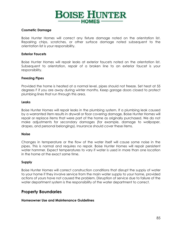

#### **Cosmetic Damage**

Boise Hunter Homes will correct any fixture damage noted on the orientation list. Repairing chips, scratches, or other surface damage noted subsequent to the orientation list is your responsibility.

#### **Exterior Faucets**

Boise Hunter Homes will repair leaks at exterior faucets noted on the orientation list. Subsequent to orientation, repair of a broken line to an exterior faucet is your responsibility.

#### **Freezing Pipes**

Provided the home is heated at a normal level, pipes should not freeze. Set heat at 55 degrees F if you are away during winter months. Keep garage doors closed to protect plumbing lines that run through this area.

#### **Leaks**

Boise Hunter Homes will repair leaks in the plumbing system. If a plumbing leak caused by a warranted item results in drywall or floor covering damage, Boise Hunter Homes will repair or replace items that were part of the home as originally purchased. We do not make adjustments for secondary damages (for example, damage to wallpaper, drapes, and personal belongings). Insurance should cover these items.

#### **Noise**

Changes in temperature or the flow of the water itself will cause some noise in the pipes. This is normal and requires no repair. Boise Hunter Homes will repair persistent water hammer. Expect temperatures to vary if water is used in more than one location in the home at the exact same time.

#### **Supply**

Boise Hunter Homes will correct construction conditions that disrupt the supply of water to your home if they involve service from the main water supply to your home, provided actions of yours have not caused the problem. Disruption of service due to failure of the water department system is the responsibility of the water department to correct.

## <span id="page-84-0"></span>**Property Boundaries**

#### **Homeowner Use and Maintenance Guidelines**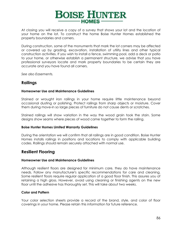

At closing you will receive a copy of a survey that shows your lot and the location of your home on the lot. To construct the home Boise Hunter Homes established the property boundaries and corners.

During construction, some of the monuments that mark the lot corners may be affected or covered up by grading, excavation, installation of utility lines and other typical construction activities. If you wish to install a fence, swimming pool, add a deck or patio to your home, or otherwise establish a permanent structure, we advise that you have professional surveyors locate and mark property boundaries to be certain they are accurate and you have found all corners.

<span id="page-85-0"></span>*See also Easements.*

## **Railings**

#### **Homeowner Use and Maintenance Guidelines**

Stained or wrought iron railings in your home require little maintenance beyond occasional dusting or polishing. Protect railings from sharp objects or moisture. Cover them during move-in so large pieces of furniture do not cause dents or scratches.

Stained railings will show variation in the way the wood grain took the stain. Some designs show seams where pieces of wood came together to form the railing.

#### **Boise Hunter Homes Limited Warranty Guidelines**

During the orientation we will confirm that all railings are in good condition. Boise Hunter Homes installs railings in positions and locations to comply with applicable building codes. Railings should remain securely attached with normal use.

## <span id="page-85-1"></span>**Resilient Flooring**

#### **Homeowner Use and Maintenance Guidelines**

Although resilient floors are designed for minimum care, they do have maintenance needs. Follow any manufacturer's specific recommendations for care and cleaning. Some resilient floors require regular application of a good floor finish. This assures you of retaining a high gloss. However, avoid using cleaning or finishing agents on the new floor until the adhesive has thoroughly set. This will take about two weeks.

#### **Color and Pattern**

Your color selection sheets provide a record of the brand, style, and color of floor coverings in your home. Please retain this information for future reference.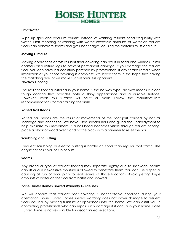

#### **Limit Water**

Wipe up spills and vacuum crumbs instead of washing resilient floors frequently with water. Limit mopping or washing with water; excessive amounts of water on resilient floors can penetrate seams and get under edges, causing the material to lift and curl.

#### **Moving Furniture**

Moving appliances across resilient floor covering can result in tears and wrinkles. Install coasters on furniture legs to prevent permanent damage. If you damage the resilient floor, you can have it successfully patched by professionals. If any scraps remain when installation of your floor covering is complete, we leave them in the hope that having the matching dye lot will make such repairs less apparent.

#### **No-Wax Flooring**

The resilient flooring installed in your home is the no-wax type. No-wax means a clear, tough coating that provides both a shiny appearance and a durable surface. However, even this surface will scuff or mark. Follow the manufacturer's recommendations for maintaining the finish.

#### **Raised Nail Heads**

Raised nail heads are the result of movements of the floor joist caused by natural shrinkage and deflection. We have used special nails and glued the underlayment to help minimize this movement. If a nail head becomes visible through resilient flooring, place a block of wood over it and hit the block with a hammer to reset the nail.

#### **Scrubbing and Buffing**

Frequent scrubbing or electric buffing is harder on floors than regular foot traffic. Use acrylic finishes if you scrub or buff.

#### **Seams**

Any brand or type of resilient flooring may separate slightly due to shrinkage. Seams can lift or curl if excessive moisture is allowed to penetrate them. You can use a special caulking at tub or floor joints to seal seams at those locations. Avoid getting large amounts of water on the floor from baths and showers.

#### **Boise Hunter Homes Limited Warranty Guidelines**

We will confirm that resilient floor covering is inacceptable condition during your orientation. Boise Hunter Homes limited warranty does not cover damage to resilient floors caused by moving furniture or appliances into the home. We can assist you in contacting professionals who can repair such damage if it occurs in your home. Boise Hunter Homes is not responsible for discontinued selections.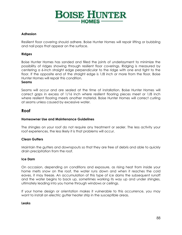

#### **Adhesion**

Resilient floor covering should adhere. Boise Hunter Homes will repair lifting or bubbling and nail pops that appear on the surface.

#### **Ridges**

Boise Hunter Homes has sanded and filled the joints of underlayment to minimize the possibility of ridges showing through resilient floor coverings. Ridging is measured by centering a 6-inch straight edge perpendicular to the ridge with one end tight to the floor. If the opposite end of the straight edge is 1/8 inch or more from the floor, Boise Hunter Homes will repair this condition.

#### **Seams**

Seams will occur and are sealed at the time of installation. Boise Hunter Homes will correct gaps in excess of 1/16 inch where resilient flooring pieces meet or 1/8 inch where resilient flooring meets another material. Boise Hunter Homes will correct curling at seams unless caused by excessive water.

### <span id="page-87-0"></span>**Roof**

#### **Homeowner Use and Maintenance Guidelines**

The shingles on your roof do not require any treatment or sealer. The less activity your roof experiences, the less likely it is that problems will occur.

#### **Clean Gutters**

Maintain the gutters and downspouts so that they are free of debris and able to quickly drain precipitation from the roof.

#### **Ice Dam**

On occasion, depending on conditions and exposure, as rising heat from inside your home melts snow on the roof, the water runs down and when it reaches the cold eaves, it may freeze. An accumulation of this type of ice dams the subsequent runoff and the water begins to back up, sometimes working its way up and under shingles, ultimately leading into you home through windows or ceilings.

If your home design or orientation makes it vulnerable to this occurrence, you may want to install an electric gutter heater strip in the susceptible areas.

#### **Leaks**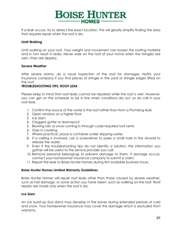

If a leak occurs, try to detect the exact location. This will greatly simplify finding the area that requires repair when the roof is dry.

#### **Limit Walking**

Limit walking on your roof. Your weight and movement can loosen the roofing material and in turn result in leaks. Never walk on the roof of your home when the shingles are wet—they are slippery.

#### **Severe Weather**

After severe storms, do a visual inspection of the roof for damages. Notify your insurance company if you find pieces of shingle in the yard or shingle edges lifted on the roof.

#### **TROUBLESHOOTING TIPS: ROOF LEAK**

Please keep in mind that roof leaks cannot be repaired while the roof is wet. However, you can get on the schedule to be in line when conditions dry out, so do call in your roof leak.

- 1. Confirm the source of the water is the roof rather than from a Plumbing leak
- 2. Open window on a higher floor
- 3. Ice dam
- 4. Clogged gutter or downspout
- 5. Blowing rain or snow coming in through code required roof vents
- 6. Gap in caulking
- 7. Where practical, place a container under dripping water.
- 8. If a ceiling is involved, use a screwdriver to poke a small hole in the drywall to release the water.
- 9. Even if the troubleshooting tips do not identify a solution, the information you gather will be useful to the service provider you call.
- 10. Remove personal belongings to prevent damage to them. If damage occurs, contact your homeowner insurance company to submit a claim.
- 11. Report the leak to Boise Hunter Homes during first available business hours.

#### **Boise Hunter Homes Limited Warranty Guidelines**

Boise Hunter Homes will repair roof leaks other than those caused by severe weather, such as hail damage, or some action you have taken, such as walking on the roof. Roof repairs are made only when the roof is dry.

#### **Ice Dam**

An ice build-up (ice dam) may develop in the eaves during extended periods of cold and snow. Your homeowner insurance may cover this damage which is excluded from warranty.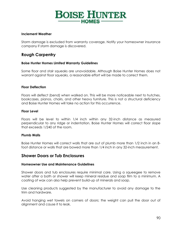## **BOISE HUNTER** HOMES-

#### **Inclement Weather**

Storm damage is excluded from warranty coverage. Notify your homeowner insurance company if storm damage is discovered.

## <span id="page-89-0"></span>**Rough Carpentry**

#### **Boise Hunter Homes Limited Warranty Guidelines**

Some floor and stair squeaks are unavoidable. Although Boise Hunter Homes does not warrant against floor squeaks, a reasonable effort will be made to correct them.

#### **Floor Deflection**

Floors will deflect (bend) when walked on. This will be more noticeable next to hutches, bookcases, pianos, chairs, and other heavy furniture. This is not a structural deficiency and Boise Hunter Homes will take no action for this occurrence.

#### **Floor Level**

Floors will be level to within 1/4 inch within any 32-inch distance as measured perpendicular to any ridge or indentation. Boise Hunter Homes will correct floor slope that exceeds 1/240 of the room.

#### **Plumb Walls**

Boise Hunter Homes will correct walls that are out of plumb more than 1/2 inch in an 8 foot distance or walls that are bowed more than 1/4 inch in any 32-inch measurement.

## <span id="page-89-1"></span>**Shower Doors or Tub Enclosures**

#### **Homeowner Use and Maintenance Guidelines**

Shower doors and tub enclosures require minimal care. Using a squeegee to remove water after a bath or shower will keep mineral residue and soap film to a minimum. A coating of wax can also help prevent build-up of minerals and soap.

Use cleaning products suggested by the manufacturer to avoid any damage to the trim and hardware.

Avoid hanging wet towels on corners of doors; the weight can pull the door out of alignment and cause it to leak.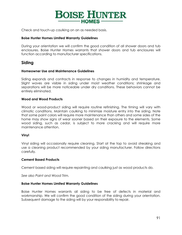

Check and touch-up caulking on an as needed basis.

#### **Boise Hunter Homes Limited Warranty Guidelines**

During your orientation we will confirm the good condition of all shower doors and tub enclosures. Boise Hunter Homes warrants that shower doors and tub enclosures will function according to manufacturer specifications.

## <span id="page-90-0"></span>**Siding**

#### **Homeowner Use and Maintenance Guidelines**

Siding expands and contracts in response to changes in humidity and temperature. Slight waves are visible in siding under moist weather conditions; shrinkage and separations will be more noticeable under dry conditions. These behaviors cannot be entirely eliminated.

#### **Wood and Wood Products**

Wood or wood-product siding will require routine refinishing. The timing will vary with climatic conditions. Maintain caulking to minimize moisture entry into the siding. Note that some paint colors will require more maintenance than others and some sides of the home may show signs of wear sooner based on their exposure to the elements. Some wood siding, such as cedar, is subject to more cracking and will require more maintenance attention.

#### **Vinyl**

Vinyl siding will occasionally require cleaning. Start at the top to avoid streaking and use a cleaning product recommended by your siding manufacturer. Follow directions carefully.

#### **Cement Based Products**

Cement based siding will require repainting and caulking just as wood products do.

*See also Paint and Wood Trim.*

#### **Boise Hunter Homes Limited Warranty Guidelines**

Boise Hunter Homes warrants all siding to be free of defects in material and workmanship. We will confirm the good condition of the siding during your orientation. Subsequent damage to the siding will by your responsibility to repair.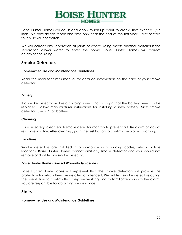

Boise Hunter Homes will caulk and apply touch-up paint to cracks that exceed 3/16 inch. We provide this repair one time only near the end of the first year. Paint or stain touch-up will not match.

We will correct any separation at joints or where siding meets another material if the separation allows water to enter the home. Boise Hunter Homes will correct delaminating siding.

## <span id="page-91-0"></span>**Smoke Detectors**

#### **Homeowner Use and Maintenance Guidelines**

Read the manufacturer's manual for detailed information on the care of your smoke detectors.

#### **Battery**

If a smoke detector makes a chirping sound that is a sign that the battery needs to be replaced. Follow manufacturer instructions for installing a new battery. Most smoke detectors use a 9 volt battery.

#### **Cleaning**

For your safety, clean each smoke detector monthly to prevent a false alarm or lack of response in a fire. After cleaning, push the test button to confirm the alarm is working.

#### **Locations**

Smoke detectors are installed in accordance with building codes, which dictate locations. Boise Hunter Homes cannot omit any smoke detector and you should not remove or disable any smoke detector.

#### **Boise Hunter Homes Limited Warranty Guidelines**

Boise Hunter Homes does not represent that the smoke detectors will provide the protection for which they are installed or intended. We will test smoke detectors during the orientation to confirm that they are working and to familiarize you with the alarm. You are responsible for obtaining fire insurance.

#### <span id="page-91-1"></span>**Stairs**

#### **Homeowner Use and Maintenance Guidelines**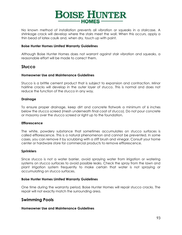

No known method of installation prevents all vibration or squeaks in a staircase. A shrinkage crack will develop where the stairs meet the wall. When this occurs, apply a thin bead of latex caulk and, when dry, touch up with paint.

#### **Boise Hunter Homes Limited Warranty Guidelines**

Although Boise Hunter Homes does not warrant against stair vibration and squeaks, a reasonable effort will be made to correct them.

### <span id="page-92-0"></span>**Stucco**

#### **Homeowner Use and Maintenance Guidelines**

Stucco is a brittle cement product that is subject to expansion and contraction. Minor hairline cracks will develop in the outer layer of stucco. This is normal and does not reduce the function of the stucco in any way.

#### **Drainage**

To ensure proper drainage, keep dirt and concrete flatwork a minimum of 6 inches below the stucco screed (mesh underneath final coat of stucco). Do not pour concrete or masonry over the stucco screed or right up to the foundation.

#### **Efflorescence**

The white, powdery substance that sometimes accumulates on stucco surfaces is called efflorescence. This is a natural phenomenon and cannot be prevented. In some cases, you can remove it by scrubbing with a stiff brush and vinegar. Consult your home center or hardware store for commercial products to remove efflorescence.

#### **Sprinklers**

Since stucco is not a water barrier, avoid spraying water from irrigation or watering systems on stucco surfaces to avoid possible leaks. Check the spray from the lawn and plant irrigation system frequently to make certain that water is not spraying or accumulating on stucco surfaces.

#### **Boise Hunter Homes Limited Warranty Guidelines**

One time during the warranty period, Boise Hunter Homes will repair stucco cracks. The repair will not exactly match the surrounding area.

#### <span id="page-92-1"></span>**Swimming Pools**

#### **Homeowner Use and Maintenance Guidelines**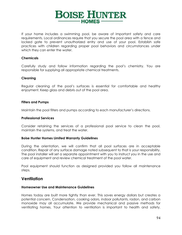

If your home includes a swimming pool, be aware of important safety and care requirements. Local ordinances require that you secure the pool area with a fence and locked gate to prevent unauthorized entry and use of your pool. Establish safe practices with children regarding proper pool behaviors and circumstances under which they can enter the water.

#### **Chemicals**

Carefully study and follow information regarding the pool's chemistry. You are responsible for supplying all appropriate chemical treatments.

#### **Cleaning**

Regular cleaning of the pool's surfaces is essential for comfortable and healthy enjoyment. Keep glass and debris out of the pool area.

#### **Filters and Pumps**

Maintain the pool filters and pumps according to each manufacturer's directions.

#### **Professional Services**

Consider retaining the services of a professional pool service to clean the pool, maintain the systems, and treat the water.

#### **Boise Hunter Homes Limited Warranty Guidelines**

During the orientation, we will confirm that all pool surfaces are in acceptable condition. Repair of any surface damage noted subsequent to that is your responsibility. The pool installer will set a separate appointment with you to instruct you in the use and care of equipment and review chemical treatment of the pool water.

Pool equipment should function as designed provided you follow all maintenance steps.

#### <span id="page-93-0"></span>**Ventilation**

#### **Homeowner Use and Maintenance Guidelines**

Homes today are built more tightly than ever. This saves energy dollars but creates a potential concern. Condensation, cooking odors, indoor pollutants, radon, and carbon monoxide may all accumulate. We provide mechanical and passive methods for ventilating homes. Your attention to ventilation is important to health and safety.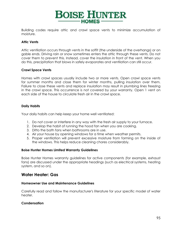

Building codes require attic and crawl space vents to minimize accumulation of moisture.

#### **Attic Vents**

Attic ventilation occurs through vents in the soffit (the underside of the overhangs) or on gable ends. Driving rain or snow sometimes enters the attic through these vents. Do not cover them to prevent this. Instead, cover the insulation in front of the vent. When you do this, precipitation that blows in safely evaporates and ventilation can still occur.

#### **Crawl Space Vents**

Homes with crawl spaces usually include two or more vents. Open crawl space vents for summer months and close them for winter months, pulling insulation over them. Failure to close these vents and replace insulation may result in plumbing lines freezing in the crawl space. This occurrence is not covered by your warranty. Open 1 vent on each side of the house to circulate fresh air in the crawl space.

#### **Daily Habits**

Your daily habits can help keep your home well ventilated:

- 1. Do not cover or interfere in any way with the fresh air supply to your furnace.
- 2. Develop the habit of running the hood fan when you are cooking.
- 3. Ditto the bath fans when bathrooms are in use.
- 4. Air your house by opening windows for a time when weather permits.
- 5. Proper ventilation will prevent excessive moisture from forming on the inside of the windows. This helps reduce cleaning chores considerably.

#### **Boise Hunter Homes Limited Warranty Guidelines**

Boise Hunter Homes warranty guidelines for active components (for example, exhaust fans) are discussed under the appropriate headings (such as electrical systems, heating system, and so on).

## <span id="page-94-0"></span>**Water Heater: Gas**

#### **Homeowner Use and Maintenance Guidelines**

Carefully read and follow the manufacturer's literature for your specific model of water heater.

#### **Condensation**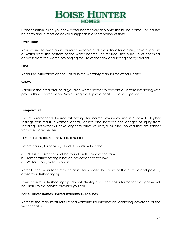

Condensation inside your new water heater may drip onto the burner flame. This causes no harm and in most cases will disappear in a short period of time.

#### **Drain Tank**

Review and follow manufacturer's timetable and instructions for draining several gallons of water from the bottom of the water heater. This reduces the build-up of chemical deposits from the water, prolonging the life of the tank and saving energy dollars.

#### **Pilot**

Read the instructions on the unit or in the warranty manual for Water Heater.

#### **Safety**

Vacuum the area around a gas-fired water heater to prevent dust from interfering with proper flame combustion. Avoid using the top of a heater as a storage shelf.

#### **Temperature**

The recommended thermostat setting for normal everyday use is "normal." Higher settings can result in wasted energy dollars and increase the danger of injury from scalding. Hot water will take longer to arrive at sinks, tubs, and showers that are farther from the water heater.

#### **TROUBLESHOOTING TIPS: NO HOT WATER**

Before calling for service, check to confirm that the:

- $\Box$  Pilot is lit. (Directions will be found on the side of the tank.)
- Temperature setting is not on "vacation" or too low.
- **u** Water supply valve is open.

Refer to the manufacturer's literature for specific locations of these items and possibly other troubleshooting tips.

Even if the trouble shooting tips do not identify a solution, the information you gather will be useful to the service provider you call.

#### **Boise Hunter Homes Limited Warranty Guidelines**

Refer to the manufacturer's limited warranty for information regarding coverage of the water heater.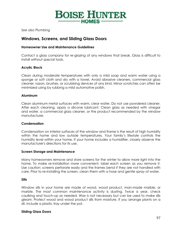

*See also Plumbing*

## <span id="page-96-0"></span>**Windows, Screens, and Sliding Glass Doors**

#### **Homeowner Use and Maintenance Guidelines**

Contact a glass company for re-glazing of any windows that break. Glass is difficult to install without special tools.

#### **Acrylic Block**

Clean during moderate temperatures with only a mild soap and warm water using a sponge or soft cloth and dry with a towel. Avoid abrasive cleaners, commercial glass cleaner, razors, brushes, or scrubbing devices of any kind. Minor scratches can often be minimized using by rubbing a mild automotive polish.

#### **Aluminum**

Clean aluminum metal surfaces with warm, clear water. Do not use powdered cleaner. After each cleaning, apply a silicone lubricant. Clean glass as needed with vinegar and water, a commercial glass cleaner, or the product recommended by the window manufacturer.

#### **Condensation**

Condensation on interior surfaces of the window and frame is the result of high humidity within the home and low outside temperatures. Your family's lifestyle controls the humidity level within your home. If your home includes a humidifier, closely observe the manufacturer's directions for its use.

#### **Screen Storage and Maintenance**

Many homeowners remove and store screens for the winter to allow more light into the home. To make re-installation more convenient, label each screen as you remove it. Use caution: screens perforate easily and the frames bend if they are not handled with care. Prior to re-installing the screen, clean them with a hose and gentle spray of water.

#### **Sills**

Window sills in your home are made of wood, wood product, man-made marble, or marble. The most common maintenance activity is dusting. Twice a year, check caulking and touch-up as needed. Wax is not necessary but can be used to make sills gleam. Protect wood and wood product sills from moisture. If you arrange plants on a sill, include a plastic tray under the pot.

#### **Sliding Glass Doors**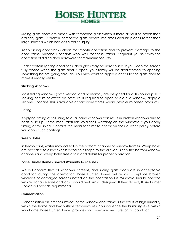

Sliding glass doors are made with tempered glass which is more difficult to break than ordinary glass. If broken, tempered glass breaks into small circular pieces rather than large splinters which can easily cause injury.

Keep sliding door tracks clean for smooth operation and to prevent damage to the door frame. Silicone lubricants work well for these tracks. Acquaint yourself with the operation of sliding door hardware for maximum security.

Under certain lighting conditions, door glass may be hard to see. If you keep the screen fully closed when the glass door is open, your family will be accustomed to opening something before going through. You may want to apply a decal to the glass door to make it readily visible.

#### **Sticking Windows**

Most sliding windows (both vertical and horizontal) are designed for a 10-pound pull. If sticking occurs or excessive pressure is required to open or close a window, apply a silicone lubricant. This is available at hardware stores. Avoid petroleum-based products.

#### **Tinting**

Applying tinting of foil lining to dual pane windows can result in broken windows due to heat build-up. Some manufacturers void their warranty on the windows if you apply tinting or foil lining. Contact the manufacturer to check on their current policy before you apply such coatings.

#### **Weep Holes**

In heavy rains, water may collect in the bottom channel of window frames. Weep holes are provided to allow excess water to escape to the outside. Keep the bottom window channels and weep holes free of dirt and debris for proper operation.

#### **Boise Hunter Homes Limited Warranty Guidelines**

We will confirm that all windows, screens, and sliding glass doors are in acceptable condition during the orientation. Boise Hunter Homes will repair or replace broken windows or damaged screens noted on the orientation list. Windows should operate with reasonable ease and locks should perform as designed. If they do not, Boise Hunter Homes will provide adjustments.

#### **Condensation**

Condensation on interior surfaces of the window and frame is the result of high humidity within the home and low outside temperatures. You influence the humidity level within your home; Boise Hunter Homes provides no corrective measure for this condition.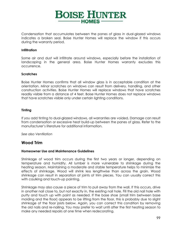

Condensation that accumulates between the panes of glass in dual-glazed windows indicates a broken seal. Boise Hunter Homes will replace the window if this occurs during the warranty period.

#### **Infiltration**

Some air and dust will infiltrate around windows, especially before the installation of landscaping in the general area. Boise Hunter Homes warranty excludes this occurrence.

#### **Scratches**

Boise Hunter Homes confirms that all window glass is in acceptable condition at the orientation. Minor scratches on windows can result from delivery, handling, and other construction activities. Boise Hunter Homes will replace windows that have scratches readily visible from a distance of 4 feet. Boise Hunter Homes does not replace windows that have scratches visible only under certain lighting conditions.

#### **Tinting**

If you add tinting to dual-glazed windows, all warranties are voided. Damage can result from condensation or excessive heat build-up between the panes of glass. Refer to the manufacturer's literature for additional information.

*See also Ventilation*

#### <span id="page-98-0"></span>**Wood Trim**

#### **Homeowner Use and Maintenance Guidelines**

Shrinkage of wood trim occurs during the first two years or longer, depending on temperature and humidity. All lumber is more vulnerable to shrinkage during the heating season. Maintaining a moderate and stable temperature helps to minimize the effects of shrinkage. Wood will shrink less lengthwise than across the grain. Wood shrinkage can result in separation at joints of trim pieces. You can usually correct this with caulking and touch-up painting.

Shrinkage may also cause a piece of trim to pull away from the wall. If this occurs, drive in another nail close to, but not exactly in, the existing nail hole. Fill the old nail hole with putty and touch up with paint as needed. If the base shoe (small trim between base molding and the floor) appears to be lifting from the floor, this is probably due to slight shrinkage of the floor joists below. Again, you can correct this condition by removing the old nails and re-nailing. You may prefer to wait until after the first heating season to make any needed repairs at one time when redecorating.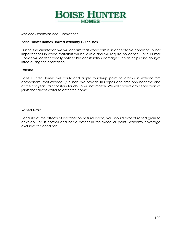## **BOISE HUNTER**  $-HOMES$  –

*See also Expansion and Contraction*

#### **Boise Hunter Homes Limited Warranty Guidelines**

During the orientation we will confirm that wood trim is in acceptable condition. Minor imperfections in wood materials will be visible and will require no action. Boise Hunter Homes will correct readily noticeable construction damage such as chips and gouges listed during the orientation.

#### **Exterior**

Boise Hunter Homes will caulk and apply touch-up paint to cracks in exterior trim components that exceed 3/16 inch. We provide this repair one time only near the end of the first year. Paint or stain touch-up will not match. We will correct any separation at joints that allows water to enter the home.

#### **Raised Grain**

Because of the effects of weather on natural wood, you should expect raised grain to develop. This is normal and not a defect in the wood or paint. Warranty coverage excludes this condition.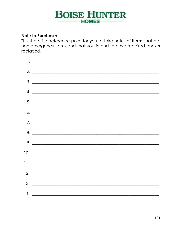## **Note to Purchaser:**

This sheet is a reference point for you to take notes of items that are non-emergency items and that you intend to have repaired and/or replaced.

| $2. \_$                                                                                                                                                                                                                                                                                                                                                                                                                                                                                                                       |
|-------------------------------------------------------------------------------------------------------------------------------------------------------------------------------------------------------------------------------------------------------------------------------------------------------------------------------------------------------------------------------------------------------------------------------------------------------------------------------------------------------------------------------|
| $\begin{array}{c}\n3. \quad \textcolor{blue}{\textbf{2.3}} \quad \textcolor{blue}{\textbf{3.4}} \quad \textcolor{blue}{\textbf{4.5}} \quad \textcolor{blue}{\textbf{5.6}} \quad \textcolor{blue}{\textbf{6.7}} \quad \textcolor{blue}{\textbf{6.8}} \quad \textcolor{blue}{\textbf{6.9}} \quad \textcolor{blue}{\textbf{6.9}} \quad \textcolor{blue}{\textbf{7.9}} \quad \textcolor{blue}{\textbf{7.9}} \quad \textcolor{blue}{\textbf{8.9}} \quad \textcolor{blue}{\textbf{9.9}} \quad \textcolor{blue}{\textbf{1.9}} \quad$ |
| 4.                                                                                                                                                                                                                                                                                                                                                                                                                                                                                                                            |
| $5.$ $\overline{\phantom{a}}$                                                                                                                                                                                                                                                                                                                                                                                                                                                                                                 |
| $6. \_$                                                                                                                                                                                                                                                                                                                                                                                                                                                                                                                       |
|                                                                                                                                                                                                                                                                                                                                                                                                                                                                                                                               |
| $8. \underline{\hspace{1.5cm}}$                                                                                                                                                                                                                                                                                                                                                                                                                                                                                               |
| 9.                                                                                                                                                                                                                                                                                                                                                                                                                                                                                                                            |
|                                                                                                                                                                                                                                                                                                                                                                                                                                                                                                                               |
|                                                                                                                                                                                                                                                                                                                                                                                                                                                                                                                               |
|                                                                                                                                                                                                                                                                                                                                                                                                                                                                                                                               |
|                                                                                                                                                                                                                                                                                                                                                                                                                                                                                                                               |
|                                                                                                                                                                                                                                                                                                                                                                                                                                                                                                                               |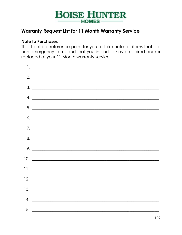

## <span id="page-101-0"></span>**Warranty Request List for 11 Month Warranty Service**

## **Note to Purchaser:**

This sheet is a reference point for you to take notes of items that are non-emergency items and that you intend to have repaired and/or replaced at your 11 Month warranty service.

| $2. \_$                        |
|--------------------------------|
|                                |
|                                |
|                                |
|                                |
|                                |
|                                |
| $9. \_$                        |
|                                |
| $11.$ $\overline{\phantom{a}}$ |
|                                |
| $13.$ $\overline{\phantom{a}}$ |
|                                |
|                                |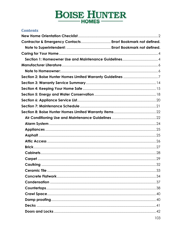## **Contents**

| Contractor & Emergency Contacts Error! Bookmark not defined. |
|--------------------------------------------------------------|
|                                                              |
|                                                              |
|                                                              |
|                                                              |
|                                                              |
|                                                              |
|                                                              |
|                                                              |
|                                                              |
|                                                              |
|                                                              |
|                                                              |
|                                                              |
|                                                              |
|                                                              |
|                                                              |
|                                                              |
|                                                              |
|                                                              |
|                                                              |
|                                                              |
|                                                              |
|                                                              |
|                                                              |
|                                                              |
|                                                              |
|                                                              |
|                                                              |
|                                                              |
|                                                              |